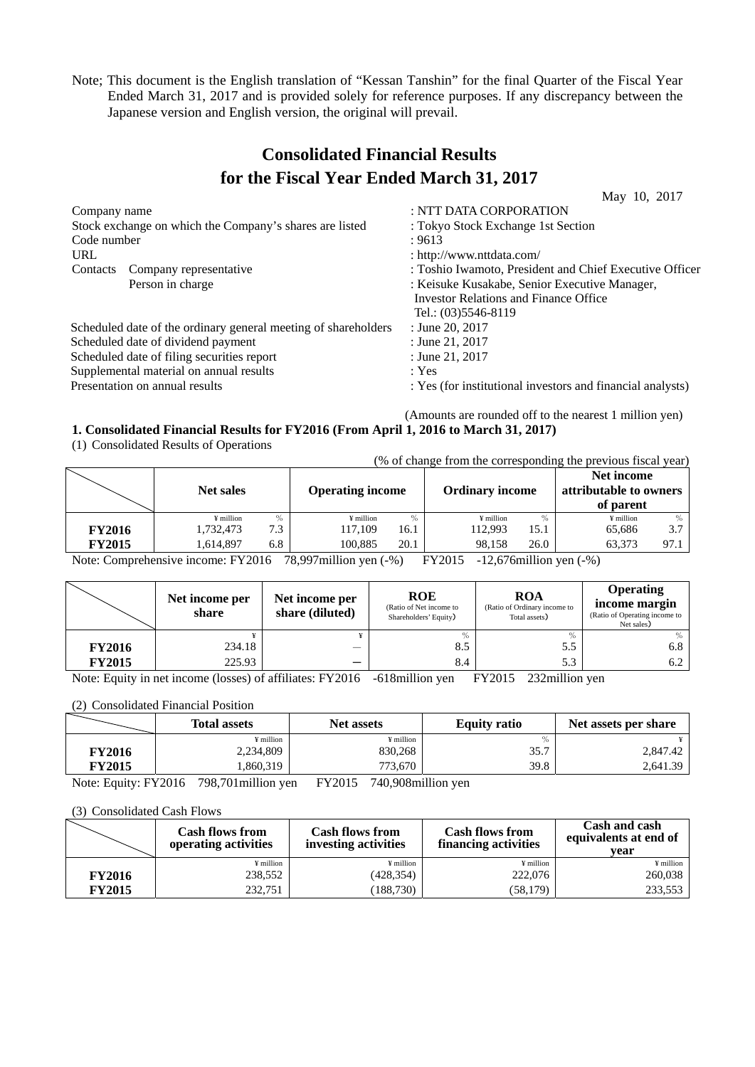Note; This document is the English translation of "Kessan Tanshin" for the final Quarter of the Fiscal Year Ended March 31, 2017 and is provided solely for reference purposes. If any discrepancy between the Japanese version and English version, the original will prevail.

# **Consolidated Financial Results for the Fiscal Year Ended March 31, 2017**

| Company name |                                                                | : NTT DATA CORPORATION                                     |
|--------------|----------------------------------------------------------------|------------------------------------------------------------|
|              | Stock exchange on which the Company's shares are listed        | : Tokyo Stock Exchange 1st Section                         |
| Code number  |                                                                | : 9613                                                     |
| URL          |                                                                | : http://www.nttdata.com/                                  |
| Contacts     | Company representative                                         | : Toshio Iwamoto, President and Chief Executive Officer    |
|              | Person in charge                                               | : Keisuke Kusakabe, Senior Executive Manager,              |
|              |                                                                | <b>Investor Relations and Finance Office</b>               |
|              |                                                                | Tel.: (03)5546-8119                                        |
|              | Scheduled date of the ordinary general meeting of shareholders | : June 20, 2017                                            |
|              | Scheduled date of dividend payment                             | : June 21, 2017                                            |
|              | Scheduled date of filing securities report                     | : June 21, 2017                                            |
|              | Supplemental material on annual results                        | : Yes                                                      |
|              | Presentation on annual results                                 | : Yes (for institutional investors and financial analysts) |
|              |                                                                |                                                            |

(Amounts are rounded off to the nearest 1 million yen)

May 10, 2017

# **1. Consolidated Financial Results for FY2016 (From April 1, 2016 to March 31, 2017)**

(1) Consolidated Results of Operations

(% of change from the corresponding the previous fiscal year)

|               | <b>Net sales</b>                       |      | <b>Operating income</b>                                         | <b>Ordinary income</b>                                          |      | Net income<br>attributable to owners<br>of parent |      |
|---------------|----------------------------------------|------|-----------------------------------------------------------------|-----------------------------------------------------------------|------|---------------------------------------------------|------|
|               | ¥ million                              | $\%$ | $\%$<br>¥ million                                               | ¥ million                                                       | $\%$ | ¥ million                                         | $\%$ |
| <b>FY2016</b> | 1,732,473                              | 7.3  | 117.109<br>16.1                                                 | 112.993                                                         | 15.1 | 65.686                                            | 3.7  |
| <b>FY2015</b> | 1.614.897                              | 6.8  | 100.885<br>20.1                                                 | 98.158                                                          | 26.0 | 63.373                                            | 97.1 |
| $\mathbf{v}$  | $\mathbf{H}$ $\mathbf{H}$ $\mathbf{H}$ |      | <br>$\pi$ <sup><math>\alpha</math></sup> $\pi$<br>$\sim$ $\sim$ | $\Gamma$ $\Gamma$ $\Gamma$ $\Omega$ $\Omega$ $\Gamma$<br>10.772 |      | $\sim$ $\sim$                                     |      |

Note: Comprehensive income: FY2016 78,997million yen (-%) FY2015 -12,676million yen (-%)

|               | Net income per<br>share | Net income per<br>share (diluted) | <b>ROE</b><br>(Ratio of Net income to<br>Shareholders' Equity) | <b>ROA</b><br>(Ratio of Ordinary income to<br>Total assets) | <b>Operating</b><br>income margin<br>(Ratio of Operating income to<br>Net sales |
|---------------|-------------------------|-----------------------------------|----------------------------------------------------------------|-------------------------------------------------------------|---------------------------------------------------------------------------------|
|               |                         |                                   | $\%$                                                           |                                                             |                                                                                 |
| <b>FY2016</b> | 234.18                  |                                   | 8.5                                                            | 5.5                                                         | 6.8                                                                             |
| <b>FY2015</b> | 225.93                  |                                   | 8.4                                                            | 5.3                                                         | 6.2                                                                             |

Note: Equity in net income (losses) of affiliates: FY2016 -618million yen FY2015 232million yen

# (2) Consolidated Financial Position

|               | <b>Total assets</b> | <b>Net assets</b> | <b>Equity ratio</b> | Net assets per share |
|---------------|---------------------|-------------------|---------------------|----------------------|
|               | ¥ million           | ¥ million         |                     |                      |
| <b>FY2016</b> | 2,234,809           | 830.268           | 35.7                | 2,847.42             |
| <b>FY2015</b> | .360,319            | 773.670           | 39.8                | 2,641.39             |

Note: Equity: FY2016 798,701million yen FY2015 740,908million yen

#### (3) Consolidated Cash Flows

|               | <b>Cash flows from</b><br>operating activities | <b>Cash flows from</b><br>investing activities | <b>Cash flows from</b><br>financing activities | Cash and cash<br>equivalents at end of<br>vear |
|---------------|------------------------------------------------|------------------------------------------------|------------------------------------------------|------------------------------------------------|
|               | ¥ million                                      | ¥ million                                      | ¥ million                                      | ¥ million                                      |
| <b>FY2016</b> | 238,552                                        | (428, 354)                                     | 222,076                                        | 260,038                                        |
| <b>FY2015</b> | 232,751                                        | (188, 730)                                     | (58, 179)                                      | 233,553                                        |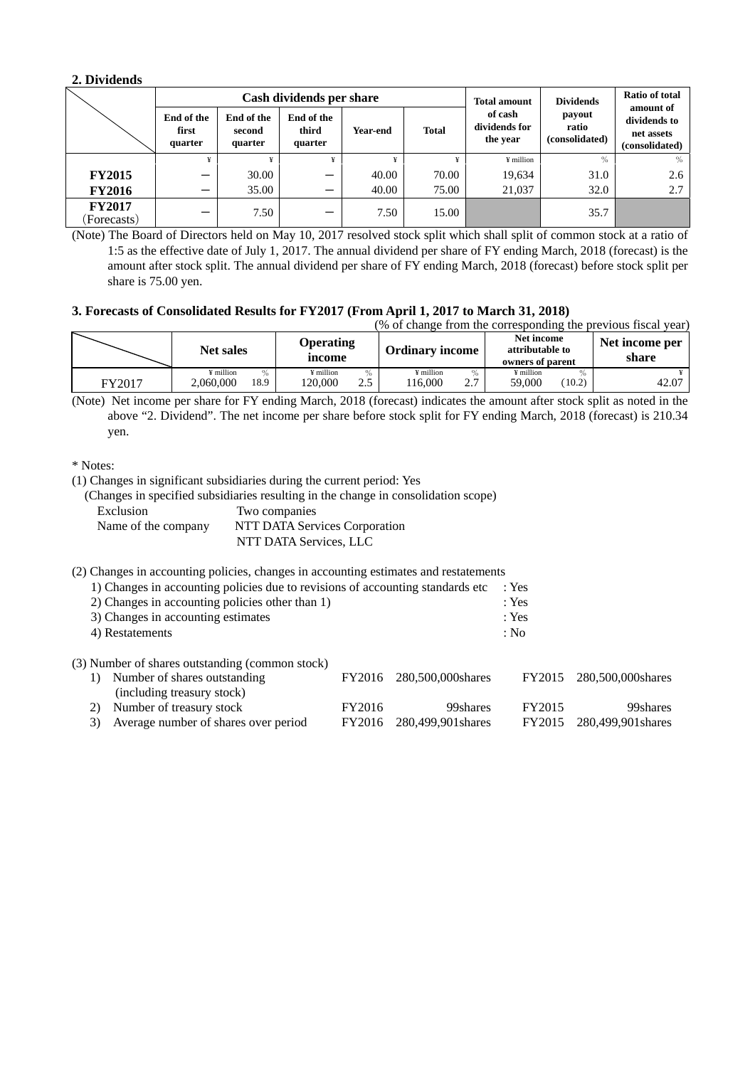#### **2. Dividends**

|                              |                                |                                 | Cash dividends per share       | <b>Total amount</b> | <b>Dividends</b> | <b>Ratio of total</b><br>amount of   |                                   |                                              |  |
|------------------------------|--------------------------------|---------------------------------|--------------------------------|---------------------|------------------|--------------------------------------|-----------------------------------|----------------------------------------------|--|
|                              | End of the<br>first<br>quarter | End of the<br>second<br>quarter | End of the<br>third<br>quarter | Year-end            | <b>Total</b>     | of cash<br>dividends for<br>the year | payout<br>ratio<br>(consolidated) | dividends to<br>net assets<br>(consolidated) |  |
|                              |                                |                                 |                                |                     |                  | $\frac{1}{2}$ million                | $\%$                              | $\%$                                         |  |
| <b>FY2015</b>                |                                | 30.00                           |                                | 40.00               | 70.00            | 19,634                               | 31.0                              | 2.6                                          |  |
| <b>FY2016</b>                |                                | 35.00                           | -                              | 40.00               | 75.00            | 21,037                               | 32.0                              | 2.7                                          |  |
| <b>FY2017</b><br>(Forecasts) |                                | 7.50                            |                                | 7.50                | 15.00            |                                      | 35.7                              |                                              |  |

(Note) The Board of Directors held on May 10, 2017 resolved stock split which shall split of common stock at a ratio of 1:5 as the effective date of July 1, 2017. The annual dividend per share of FY ending March, 2018 (forecast) is the amount after stock split. The annual dividend per share of FY ending March, 2018 (forecast) before stock split per share is 75.00 yen.

# **3. Forecasts of Consolidated Results for FY2017 (From April 1, 2017 to March 31, 2018)**

(% of change from the corresponding the previous fiscal year)

|        |                                 | Operating<br><b>Net sales</b><br>income |                      |             | (% of change from the corresponding the previous fiscal vear)<br><b>Ordinary income</b> |          | Net income<br>attributable to<br>owners of parent |        | share |
|--------|---------------------------------|-----------------------------------------|----------------------|-------------|-----------------------------------------------------------------------------------------|----------|---------------------------------------------------|--------|-------|
| FY2017 | $\epsilon$ million<br>2.060.000 | 18.9                                    | ¥ million<br>120.000 | $\%$<br>2.5 | ¥ million<br>116.000                                                                    | %<br>2.7 | $\frac{1}{2}$ million<br>59.000                   | (10.2) | 42.07 |

(Note) Net income per share for FY ending March, 2018 (forecast) indicates the amount after stock split as noted in the above "2. Dividend". The net income per share before stock split for FY ending March, 2018 (forecast) is 210.34 yen.

#### \* Notes:

(1) Changes in significant subsidiaries during the current period: Yes

(Changes in specified subsidiaries resulting in the change in consolidation scope)

| Exclusion           | Two companies                 |
|---------------------|-------------------------------|
| Name of the company | NTT DATA Services Corporation |
|                     | NTT DATA Services, LLC        |

(2) Changes in accounting policies, changes in accounting estimates and restatements

| 1) Changes in accounting policies due to revisions of accounting standards etc. | : Yes |
|---------------------------------------------------------------------------------|-------|
| 2) Changes in accounting policies other than 1)                                 | : Yes |
| 3) Changes in accounting estimates                                              | : Yes |
| 4) Restatements                                                                 | : No  |
| (3) Number of shares outstanding (common stock)                                 |       |

| 1) Number of shares outstanding         |        | FY2016 280.500.000shares  |        | FY2015 280,500,000 shares |
|-----------------------------------------|--------|---------------------------|--------|---------------------------|
| (including treasury stock)              |        |                           |        |                           |
| 2) Number of treasury stock             | FY2016 | 99shares                  | FY2015 | 99shares                  |
| 3) Average number of shares over period |        | FY2016 280.499.901 shares |        | FY2015 280,499,901 shares |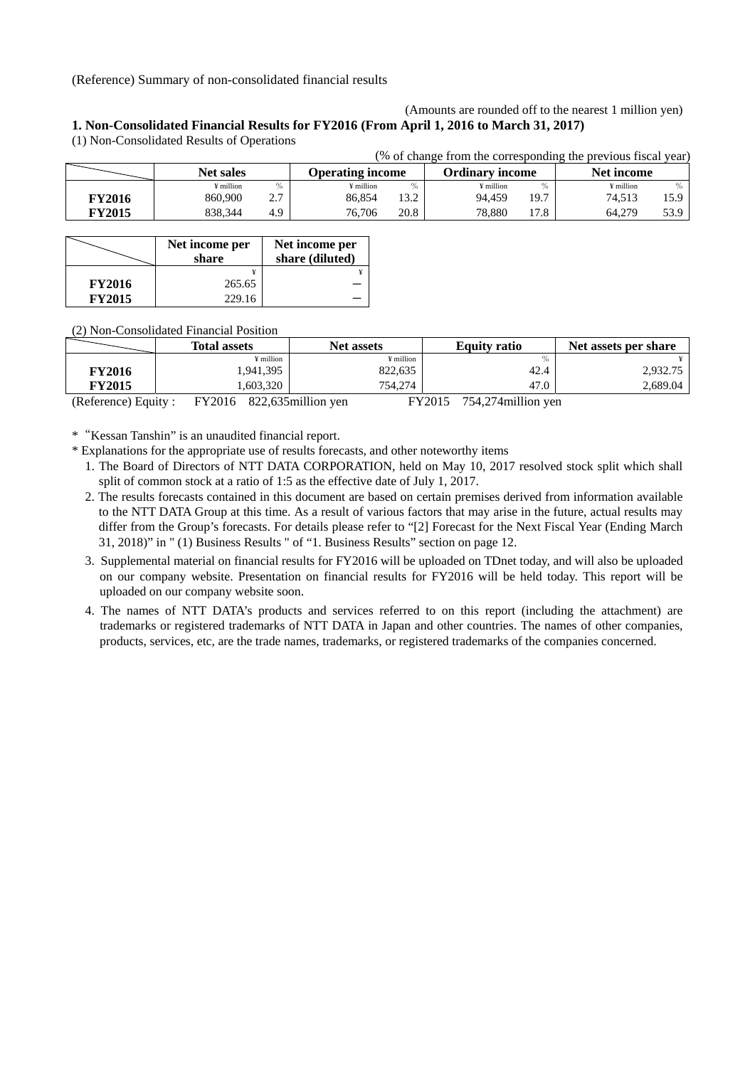(Reference) Summary of non-consolidated financial results

# (Amounts are rounded off to the nearest 1 million yen) **1. Non-Consolidated Financial Results for FY2016 (From April 1, 2016 to March 31, 2017)**

(1) Non-Consolidated Results of Operations

|               |                  |     |                         |      |                        |      | (% of change from the corresponding the previous fiscal year) |        |
|---------------|------------------|-----|-------------------------|------|------------------------|------|---------------------------------------------------------------|--------|
|               | <b>Net sales</b> |     | <b>Operating income</b> |      | <b>Ordinary income</b> |      | Net income                                                    |        |
|               | ¥ million        |     | ∉ million               | $\%$ | ¥ million              | $\%$ | ¥ million                                                     | $\%$   |
| <b>FY2016</b> | 860,900          | 2.7 | 86.854                  | 13.2 | 94.459                 | 19.7 | 74.513                                                        | 15.9 I |
| <b>FY2015</b> | 838.344          | 4.9 | 76.706                  | 20.8 | 78.880                 | 17.8 | 64,279                                                        | 53.9   |

|               | Net income per<br>share | Net income per<br>share (diluted) |
|---------------|-------------------------|-----------------------------------|
|               |                         |                                   |
| <b>FY2016</b> | 265.65                  |                                   |
| <b>FY2015</b> | 229.16                  |                                   |

(2) Non-Consolidated Financial Position

|                      | <b>Total assets</b> | <b>Net assets</b>   | <b>Equity ratio</b>           | Net assets per share |
|----------------------|---------------------|---------------------|-------------------------------|----------------------|
|                      | ¥ million           | ¥ million           |                               |                      |
| <b>FY2016</b>        | 1.941.395           | 822,635             | 42.4                          | 2,932.75             |
| <b>FY2015</b>        | .603.320            | 754,274             | 47.0                          | 2,689.04             |
| (Reference) Equity : | FY2016              | 822,635 million yen | FY2015<br>754,274 million yen |                      |

\* "Kessan Tanshin" is an unaudited financial report.

\* Explanations for the appropriate use of results forecasts, and other noteworthy items

- 1. The Board of Directors of NTT DATA CORPORATION, held on May 10, 2017 resolved stock split which shall split of common stock at a ratio of 1:5 as the effective date of July 1, 2017.
- 2. The results forecasts contained in this document are based on certain premises derived from information available to the NTT DATA Group at this time. As a result of various factors that may arise in the future, actual results may differ from the Group's forecasts. For details please refer to "[2] Forecast for the Next Fiscal Year (Ending March 31, 2018)" in " (1) Business Results " of "1. Business Results" section on page 12.
- 3. Supplemental material on financial results for FY2016 will be uploaded on TDnet today, and will also be uploaded on our company website. Presentation on financial results for FY2016 will be held today. This report will be uploaded on our company website soon.
- 4. The names of NTT DATA's products and services referred to on this report (including the attachment) are trademarks or registered trademarks of NTT DATA in Japan and other countries. The names of other companies, products, services, etc, are the trade names, trademarks, or registered trademarks of the companies concerned.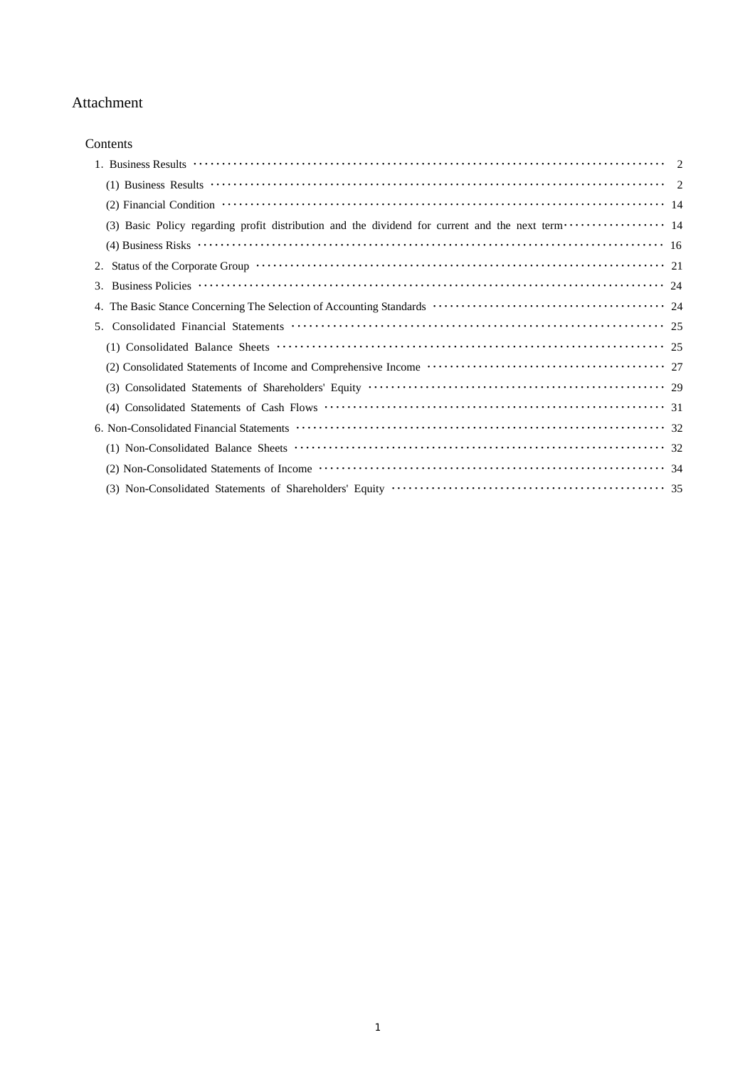# Attachment

| 1. Business Results $\cdots$ $\cdots$ $\cdots$ $\cdots$ $\cdots$ $\cdots$ $\cdots$ $\cdots$ $\cdots$ $\cdots$ $\cdots$ $\cdots$ $\cdots$ $\cdots$ $\cdots$ $\cdots$ $\cdots$ $\cdots$ $\cdots$ $\cdots$ $\cdots$ $\cdots$ $\cdots$                                                                                                |
|-----------------------------------------------------------------------------------------------------------------------------------------------------------------------------------------------------------------------------------------------------------------------------------------------------------------------------------|
| (1) Business Results $\cdots$ $\cdots$ $\cdots$ $\cdots$ $\cdots$ $\cdots$ $\cdots$ $\cdots$ $\cdots$ $\cdots$ $\cdots$ $\cdots$ $\cdots$ $\cdots$ $\cdots$ $\cdots$ $\cdots$ $\cdots$ $\cdots$ $\cdots$ $\cdots$ $\cdots$                                                                                                        |
| (2) Financial Condition $\cdots$ $\cdots$ $\cdots$ $\cdots$ $\cdots$ $\cdots$ $\cdots$ $\cdots$ $\cdots$ $\cdots$ $\cdots$ $\cdots$ $\cdots$ $\cdots$ $\cdots$ $\cdots$ $\cdots$ $\cdots$ $\cdots$ $\cdots$ $\cdots$ $\cdots$ $\cdots$                                                                                            |
| (3) Basic Policy regarding profit distribution and the dividend for current and the next term ··············· 14                                                                                                                                                                                                                  |
| (4) Business Risks $\cdots$ $\cdots$ $\cdots$ $\cdots$ $\cdots$ $\cdots$ $\cdots$ $\cdots$ $\cdots$ $\cdots$ $\cdots$ $\cdots$ $\cdots$ $\cdots$ $\cdots$ $\cdots$ $\cdots$ $\cdots$ $\cdots$ $\cdots$ $\cdots$ $\cdots$ $\cdots$                                                                                                 |
|                                                                                                                                                                                                                                                                                                                                   |
| 3. Business Policies $\cdots$ $\cdots$ $\cdots$ $\cdots$ $\cdots$ $\cdots$ $\cdots$ $\cdots$ $\cdots$ $\cdots$ $\cdots$ $\cdots$ $\cdots$ $\cdots$ $\cdots$ $\cdots$ $\cdots$ $\cdots$ $\cdots$ $\cdots$ $\cdots$ $\cdots$ $\cdots$ $\cdots$ $\cdots$ $\cdots$ $\cdots$ $\cdots$ $\cdots$ $\cdots$ $\cdots$ $\cdots$ $\cdots$ $\$ |
|                                                                                                                                                                                                                                                                                                                                   |
| 5.                                                                                                                                                                                                                                                                                                                                |
|                                                                                                                                                                                                                                                                                                                                   |
|                                                                                                                                                                                                                                                                                                                                   |
|                                                                                                                                                                                                                                                                                                                                   |
|                                                                                                                                                                                                                                                                                                                                   |
| 6. Non-Consolidated Financial Statements (and the context of the context of the consolidated Financial Statements (context) and the context of the context of the context of the context of the context of the context of the                                                                                                     |
|                                                                                                                                                                                                                                                                                                                                   |
|                                                                                                                                                                                                                                                                                                                                   |
|                                                                                                                                                                                                                                                                                                                                   |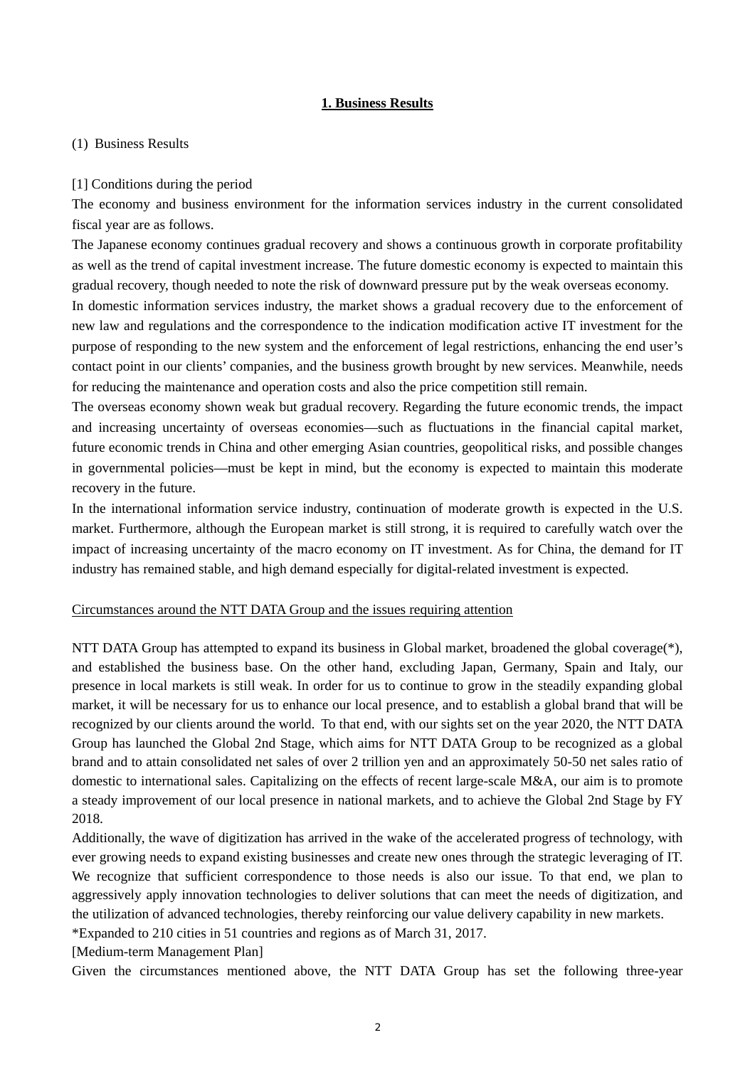## **1. Business Results**

#### (1) Business Results

### [1] Conditions during the period

The economy and business environment for the information services industry in the current consolidated fiscal year are as follows.

The Japanese economy continues gradual recovery and shows a continuous growth in corporate profitability as well as the trend of capital investment increase. The future domestic economy is expected to maintain this gradual recovery, though needed to note the risk of downward pressure put by the weak overseas economy.

In domestic information services industry, the market shows a gradual recovery due to the enforcement of new law and regulations and the correspondence to the indication modification active IT investment for the purpose of responding to the new system and the enforcement of legal restrictions, enhancing the end user's contact point in our clients' companies, and the business growth brought by new services. Meanwhile, needs for reducing the maintenance and operation costs and also the price competition still remain.

The overseas economy shown weak but gradual recovery. Regarding the future economic trends, the impact and increasing uncertainty of overseas economies—such as fluctuations in the financial capital market, future economic trends in China and other emerging Asian countries, geopolitical risks, and possible changes in governmental policies—must be kept in mind, but the economy is expected to maintain this moderate recovery in the future.

In the international information service industry, continuation of moderate growth is expected in the U.S. market. Furthermore, although the European market is still strong, it is required to carefully watch over the impact of increasing uncertainty of the macro economy on IT investment. As for China, the demand for IT industry has remained stable, and high demand especially for digital-related investment is expected.

#### Circumstances around the NTT DATA Group and the issues requiring attention

NTT DATA Group has attempted to expand its business in Global market, broadened the global coverage(\*), and established the business base. On the other hand, excluding Japan, Germany, Spain and Italy, our presence in local markets is still weak. In order for us to continue to grow in the steadily expanding global market, it will be necessary for us to enhance our local presence, and to establish a global brand that will be recognized by our clients around the world. To that end, with our sights set on the year 2020, the NTT DATA Group has launched the Global 2nd Stage, which aims for NTT DATA Group to be recognized as a global brand and to attain consolidated net sales of over 2 trillion yen and an approximately 50-50 net sales ratio of domestic to international sales. Capitalizing on the effects of recent large-scale M&A, our aim is to promote a steady improvement of our local presence in national markets, and to achieve the Global 2nd Stage by FY 2018.

Additionally, the wave of digitization has arrived in the wake of the accelerated progress of technology, with ever growing needs to expand existing businesses and create new ones through the strategic leveraging of IT. We recognize that sufficient correspondence to those needs is also our issue. To that end, we plan to aggressively apply innovation technologies to deliver solutions that can meet the needs of digitization, and the utilization of advanced technologies, thereby reinforcing our value delivery capability in new markets.

\*Expanded to 210 cities in 51 countries and regions as of March 31, 2017.

[Medium-term Management Plan]

Given the circumstances mentioned above, the NTT DATA Group has set the following three-year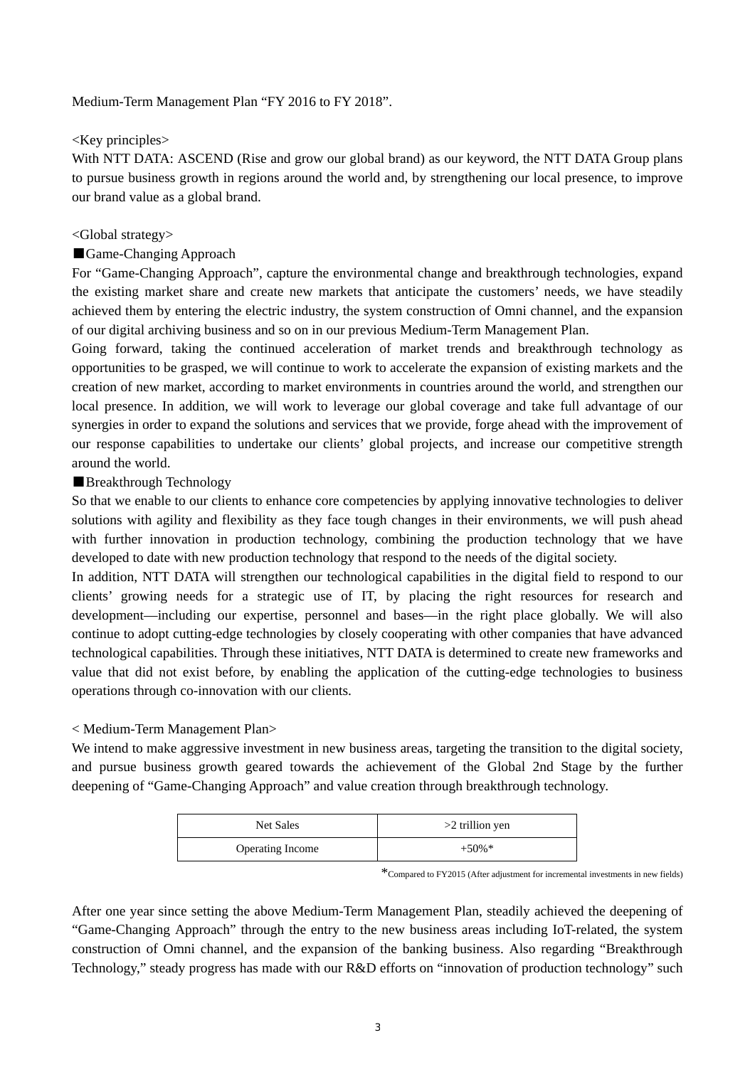Medium-Term Management Plan "FY 2016 to FY 2018".

# <Key principles>

With NTT DATA: ASCEND (Rise and grow our global brand) as our keyword, the NTT DATA Group plans to pursue business growth in regions around the world and, by strengthening our local presence, to improve our brand value as a global brand.

# <Global strategy>

# ■Game-Changing Approach

For "Game-Changing Approach", capture the environmental change and breakthrough technologies, expand the existing market share and create new markets that anticipate the customers' needs, we have steadily achieved them by entering the electric industry, the system construction of Omni channel, and the expansion of our digital archiving business and so on in our previous Medium-Term Management Plan.

Going forward, taking the continued acceleration of market trends and breakthrough technology as opportunities to be grasped, we will continue to work to accelerate the expansion of existing markets and the creation of new market, according to market environments in countries around the world, and strengthen our local presence. In addition, we will work to leverage our global coverage and take full advantage of our synergies in order to expand the solutions and services that we provide, forge ahead with the improvement of our response capabilities to undertake our clients' global projects, and increase our competitive strength around the world.

# ■Breakthrough Technology

So that we enable to our clients to enhance core competencies by applying innovative technologies to deliver solutions with agility and flexibility as they face tough changes in their environments, we will push ahead with further innovation in production technology, combining the production technology that we have developed to date with new production technology that respond to the needs of the digital society.

In addition, NTT DATA will strengthen our technological capabilities in the digital field to respond to our clients' growing needs for a strategic use of IT, by placing the right resources for research and development—including our expertise, personnel and bases—in the right place globally. We will also continue to adopt cutting-edge technologies by closely cooperating with other companies that have advanced technological capabilities. Through these initiatives, NTT DATA is determined to create new frameworks and value that did not exist before, by enabling the application of the cutting-edge technologies to business operations through co-innovation with our clients.

# < Medium-Term Management Plan>

We intend to make aggressive investment in new business areas, targeting the transition to the digital society, and pursue business growth geared towards the achievement of the Global 2nd Stage by the further deepening of "Game-Changing Approach" and value creation through breakthrough technology.

| Net Sales        | $>2$ trillion yen |
|------------------|-------------------|
| Operating Income | $+50\%$ *         |

\*Compared to FY2015 (After adjustment for incremental investments in new fields)

After one year since setting the above Medium-Term Management Plan, steadily achieved the deepening of "Game-Changing Approach" through the entry to the new business areas including IoT-related, the system construction of Omni channel, and the expansion of the banking business. Also regarding "Breakthrough Technology," steady progress has made with our R&D efforts on "innovation of production technology" such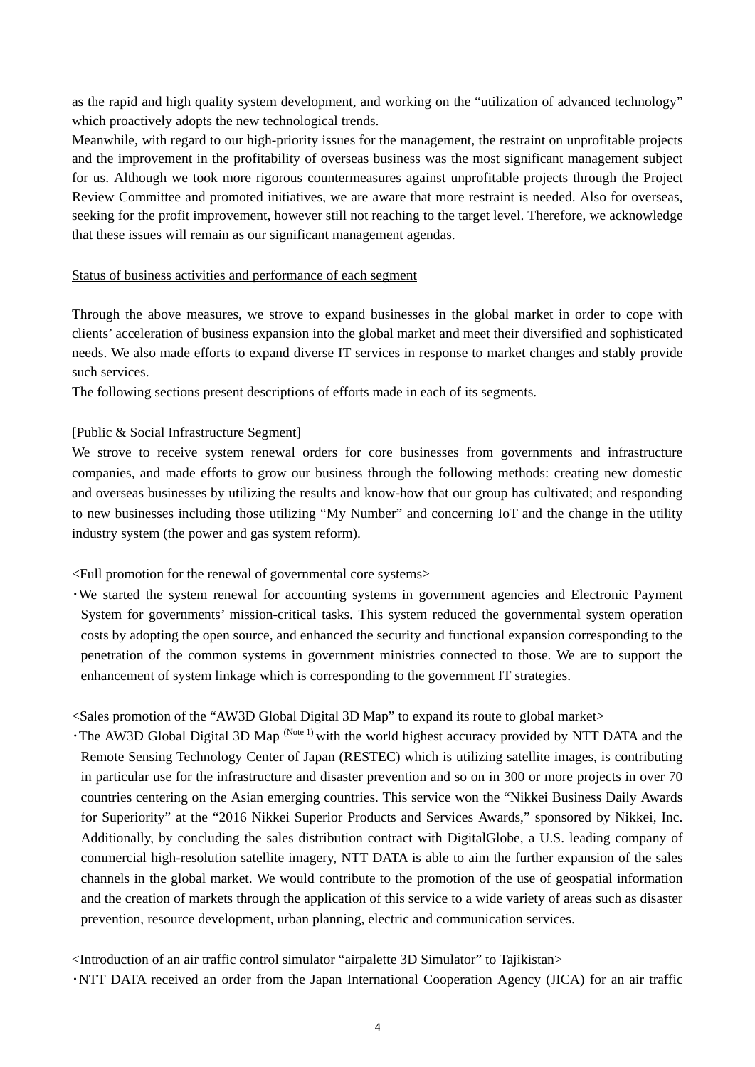as the rapid and high quality system development, and working on the "utilization of advanced technology" which proactively adopts the new technological trends.

Meanwhile, with regard to our high-priority issues for the management, the restraint on unprofitable projects and the improvement in the profitability of overseas business was the most significant management subject for us. Although we took more rigorous countermeasures against unprofitable projects through the Project Review Committee and promoted initiatives, we are aware that more restraint is needed. Also for overseas, seeking for the profit improvement, however still not reaching to the target level. Therefore, we acknowledge that these issues will remain as our significant management agendas.

#### Status of business activities and performance of each segment

Through the above measures, we strove to expand businesses in the global market in order to cope with clients' acceleration of business expansion into the global market and meet their diversified and sophisticated needs. We also made efforts to expand diverse IT services in response to market changes and stably provide such services.

The following sections present descriptions of efforts made in each of its segments.

# [Public & Social Infrastructure Segment]

We strove to receive system renewal orders for core businesses from governments and infrastructure companies, and made efforts to grow our business through the following methods: creating new domestic and overseas businesses by utilizing the results and know-how that our group has cultivated; and responding to new businesses including those utilizing "My Number" and concerning IoT and the change in the utility industry system (the power and gas system reform).

<Full promotion for the renewal of governmental core systems>

・We started the system renewal for accounting systems in government agencies and Electronic Payment System for governments' mission-critical tasks. This system reduced the governmental system operation costs by adopting the open source, and enhanced the security and functional expansion corresponding to the penetration of the common systems in government ministries connected to those. We are to support the enhancement of system linkage which is corresponding to the government IT strategies.

<Sales promotion of the "AW3D Global Digital 3D Map" to expand its route to global market>

・The AW3D Global Digital 3D Map (Note 1) with the world highest accuracy provided by NTT DATA and the Remote Sensing Technology Center of Japan (RESTEC) which is utilizing satellite images, is contributing in particular use for the infrastructure and disaster prevention and so on in 300 or more projects in over 70 countries centering on the Asian emerging countries. This service won the "Nikkei Business Daily Awards for Superiority" at the "2016 Nikkei Superior Products and Services Awards," sponsored by Nikkei, Inc. Additionally, by concluding the sales distribution contract with DigitalGlobe, a U.S. leading company of commercial high-resolution satellite imagery, NTT DATA is able to aim the further expansion of the sales channels in the global market. We would contribute to the promotion of the use of geospatial information and the creation of markets through the application of this service to a wide variety of areas such as disaster prevention, resource development, urban planning, electric and communication services.

<Introduction of an air traffic control simulator "airpalette 3D Simulator" to Tajikistan>

・NTT DATA received an order from the Japan International Cooperation Agency (JICA) for an air traffic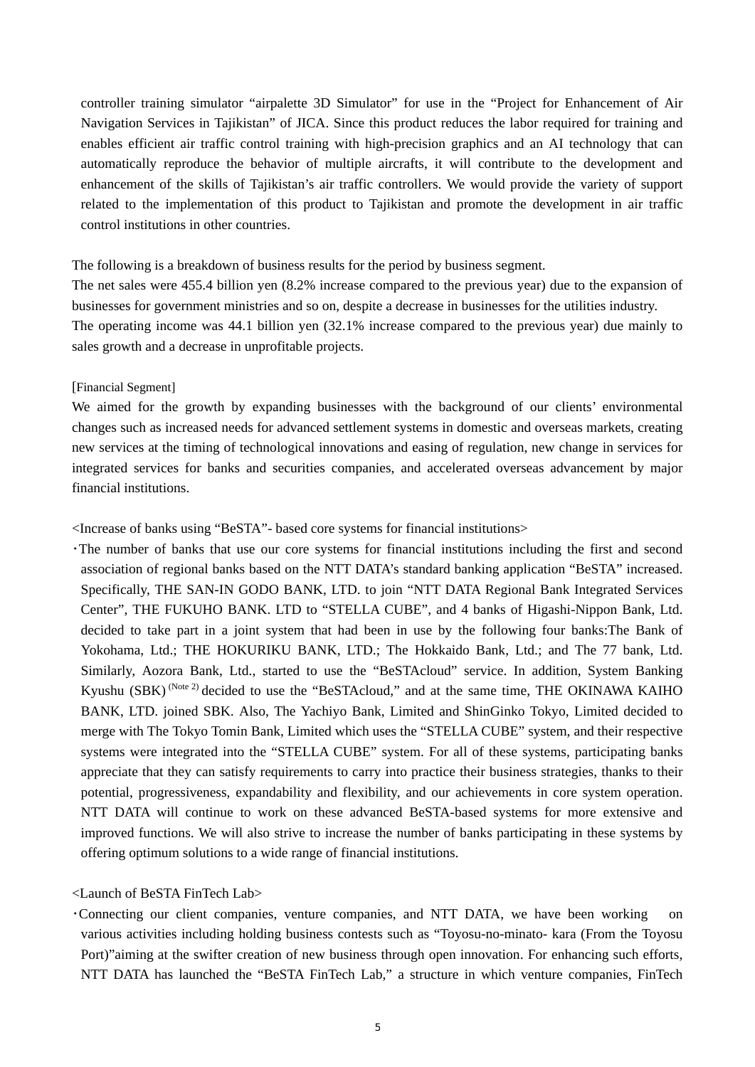controller training simulator "airpalette 3D Simulator" for use in the "Project for Enhancement of Air Navigation Services in Tajikistan" of JICA. Since this product reduces the labor required for training and enables efficient air traffic control training with high-precision graphics and an AI technology that can automatically reproduce the behavior of multiple aircrafts, it will contribute to the development and enhancement of the skills of Tajikistan's air traffic controllers. We would provide the variety of support related to the implementation of this product to Tajikistan and promote the development in air traffic control institutions in other countries.

The following is a breakdown of business results for the period by business segment.

The net sales were 455.4 billion yen (8.2% increase compared to the previous year) due to the expansion of businesses for government ministries and so on, despite a decrease in businesses for the utilities industry. The operating income was 44.1 billion yen (32.1% increase compared to the previous year) due mainly to sales growth and a decrease in unprofitable projects.

### [Financial Segment]

We aimed for the growth by expanding businesses with the background of our clients' environmental changes such as increased needs for advanced settlement systems in domestic and overseas markets, creating new services at the timing of technological innovations and easing of regulation, new change in services for integrated services for banks and securities companies, and accelerated overseas advancement by major financial institutions.

<Increase of banks using "BeSTA"- based core systems for financial institutions>

・The number of banks that use our core systems for financial institutions including the first and second association of regional banks based on the NTT DATA's standard banking application "BeSTA" increased. Specifically, THE SAN-IN GODO BANK, LTD. to join "NTT DATA Regional Bank Integrated Services Center", THE FUKUHO BANK. LTD to "STELLA CUBE", and 4 banks of Higashi-Nippon Bank, Ltd. decided to take part in a joint system that had been in use by the following four banks:The Bank of Yokohama, Ltd.; THE HOKURIKU BANK, LTD.; The Hokkaido Bank, Ltd.; and The 77 bank, Ltd. Similarly, Aozora Bank, Ltd., started to use the "BeSTAcloud" service. In addition, System Banking Kyushu (SBK)<sup>(Note 2)</sup> decided to use the "BeSTAcloud," and at the same time, THE OKINAWA KAIHO BANK, LTD. joined SBK. Also, The Yachiyo Bank, Limited and ShinGinko Tokyo, Limited decided to merge with The Tokyo Tomin Bank, Limited which uses the "STELLA CUBE" system, and their respective systems were integrated into the "STELLA CUBE" system. For all of these systems, participating banks appreciate that they can satisfy requirements to carry into practice their business strategies, thanks to their potential, progressiveness, expandability and flexibility, and our achievements in core system operation. NTT DATA will continue to work on these advanced BeSTA-based systems for more extensive and improved functions. We will also strive to increase the number of banks participating in these systems by offering optimum solutions to a wide range of financial institutions.

<Launch of BeSTA FinTech Lab>

・Connecting our client companies, venture companies, and NTT DATA, we have been working on various activities including holding business contests such as "Toyosu-no-minato- kara (From the Toyosu Port)"aiming at the swifter creation of new business through open innovation. For enhancing such efforts, NTT DATA has launched the "BeSTA FinTech Lab," a structure in which venture companies, FinTech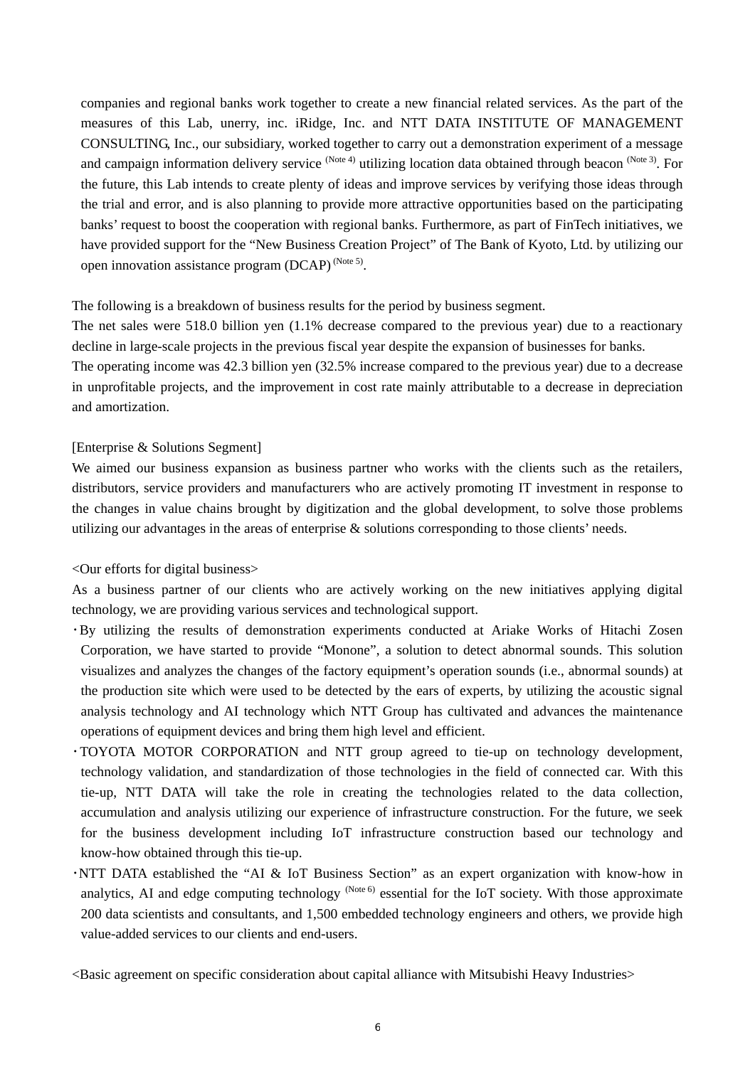companies and regional banks work together to create a new financial related services. As the part of the measures of this Lab, unerry, inc. iRidge, Inc. and NTT DATA INSTITUTE OF MANAGEMENT CONSULTING, Inc., our subsidiary, worked together to carry out a demonstration experiment of a message and campaign information delivery service  $^{(Note 4)}$  utilizing location data obtained through beacon  $^{(Note 3)}$ . For the future, this Lab intends to create plenty of ideas and improve services by verifying those ideas through the trial and error, and is also planning to provide more attractive opportunities based on the participating banks' request to boost the cooperation with regional banks. Furthermore, as part of FinTech initiatives, we have provided support for the "New Business Creation Project" of The Bank of Kyoto, Ltd. by utilizing our open innovation assistance program (DCAP) (Note 5).

The following is a breakdown of business results for the period by business segment.

The net sales were 518.0 billion yen (1.1% decrease compared to the previous year) due to a reactionary decline in large-scale projects in the previous fiscal year despite the expansion of businesses for banks.

The operating income was 42.3 billion yen (32.5% increase compared to the previous year) due to a decrease in unprofitable projects, and the improvement in cost rate mainly attributable to a decrease in depreciation and amortization.

# [Enterprise & Solutions Segment]

We aimed our business expansion as business partner who works with the clients such as the retailers, distributors, service providers and manufacturers who are actively promoting IT investment in response to the changes in value chains brought by digitization and the global development, to solve those problems utilizing our advantages in the areas of enterprise & solutions corresponding to those clients' needs.

# <Our efforts for digital business>

As a business partner of our clients who are actively working on the new initiatives applying digital technology, we are providing various services and technological support.

- ・By utilizing the results of demonstration experiments conducted at Ariake Works of Hitachi Zosen Corporation, we have started to provide "Monone", a solution to detect abnormal sounds. This solution visualizes and analyzes the changes of the factory equipment's operation sounds (i.e., abnormal sounds) at the production site which were used to be detected by the ears of experts, by utilizing the acoustic signal analysis technology and AI technology which NTT Group has cultivated and advances the maintenance operations of equipment devices and bring them high level and efficient.
- ・TOYOTA MOTOR CORPORATION and NTT group agreed to tie-up on technology development, technology validation, and standardization of those technologies in the field of connected car. With this tie-up, NTT DATA will take the role in creating the technologies related to the data collection, accumulation and analysis utilizing our experience of infrastructure construction. For the future, we seek for the business development including IoT infrastructure construction based our technology and know-how obtained through this tie-up.
- ・NTT DATA established the "AI & IoT Business Section" as an expert organization with know-how in analytics, AI and edge computing technology  $(Note 6)$  essential for the IoT society. With those approximate 200 data scientists and consultants, and 1,500 embedded technology engineers and others, we provide high value-added services to our clients and end-users.

<sup>&</sup>lt;Basic agreement on specific consideration about capital alliance with Mitsubishi Heavy Industries>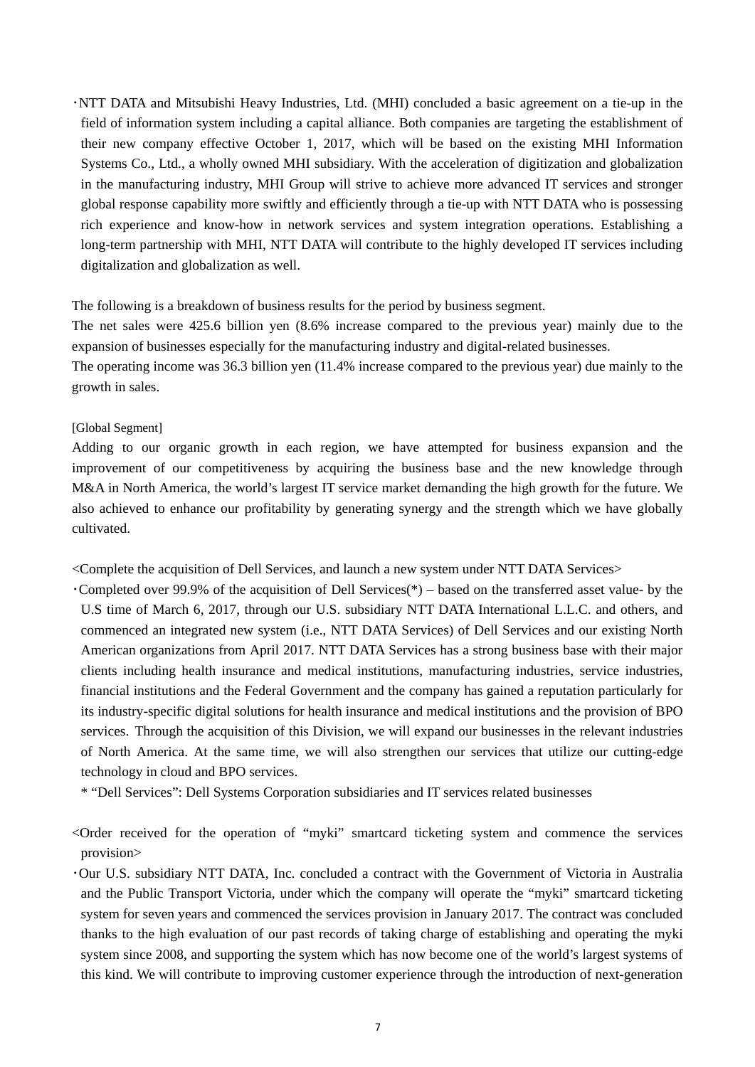・NTT DATA and Mitsubishi Heavy Industries, Ltd. (MHI) concluded a basic agreement on a tie-up in the field of information system including a capital alliance. Both companies are targeting the establishment of their new company effective October 1, 2017, which will be based on the existing MHI Information Systems Co., Ltd., a wholly owned MHI subsidiary. With the acceleration of digitization and globalization in the manufacturing industry, MHI Group will strive to achieve more advanced IT services and stronger global response capability more swiftly and efficiently through a tie-up with NTT DATA who is possessing rich experience and know-how in network services and system integration operations. Establishing a long-term partnership with MHI, NTT DATA will contribute to the highly developed IT services including digitalization and globalization as well.

The following is a breakdown of business results for the period by business segment.

The net sales were 425.6 billion yen (8.6% increase compared to the previous year) mainly due to the expansion of businesses especially for the manufacturing industry and digital-related businesses.

The operating income was 36.3 billion yen (11.4% increase compared to the previous year) due mainly to the growth in sales.

# [Global Segment]

Adding to our organic growth in each region, we have attempted for business expansion and the improvement of our competitiveness by acquiring the business base and the new knowledge through M&A in North America, the world's largest IT service market demanding the high growth for the future. We also achieved to enhance our profitability by generating synergy and the strength which we have globally cultivated.

<Complete the acquisition of Dell Services, and launch a new system under NTT DATA Services>

・Completed over 99.9% of the acquisition of Dell Services(\*) – based on the transferred asset value- by the U.S time of March 6, 2017, through our U.S. subsidiary NTT DATA International L.L.C. and others, and commenced an integrated new system (i.e., NTT DATA Services) of Dell Services and our existing North American organizations from April 2017. NTT DATA Services has a strong business base with their major clients including health insurance and medical institutions, manufacturing industries, service industries, financial institutions and the Federal Government and the company has gained a reputation particularly for its industry-specific digital solutions for health insurance and medical institutions and the provision of BPO services. Through the acquisition of this Division, we will expand our businesses in the relevant industries of North America. At the same time, we will also strengthen our services that utilize our cutting-edge technology in cloud and BPO services.

\* "Dell Services": Dell Systems Corporation subsidiaries and IT services related businesses

<Order received for the operation of "myki" smartcard ticketing system and commence the services provision>

・Our U.S. subsidiary NTT DATA, Inc. concluded a contract with the Government of Victoria in Australia and the Public Transport Victoria, under which the company will operate the "myki" smartcard ticketing system for seven years and commenced the services provision in January 2017. The contract was concluded thanks to the high evaluation of our past records of taking charge of establishing and operating the myki system since 2008, and supporting the system which has now become one of the world's largest systems of this kind. We will contribute to improving customer experience through the introduction of next-generation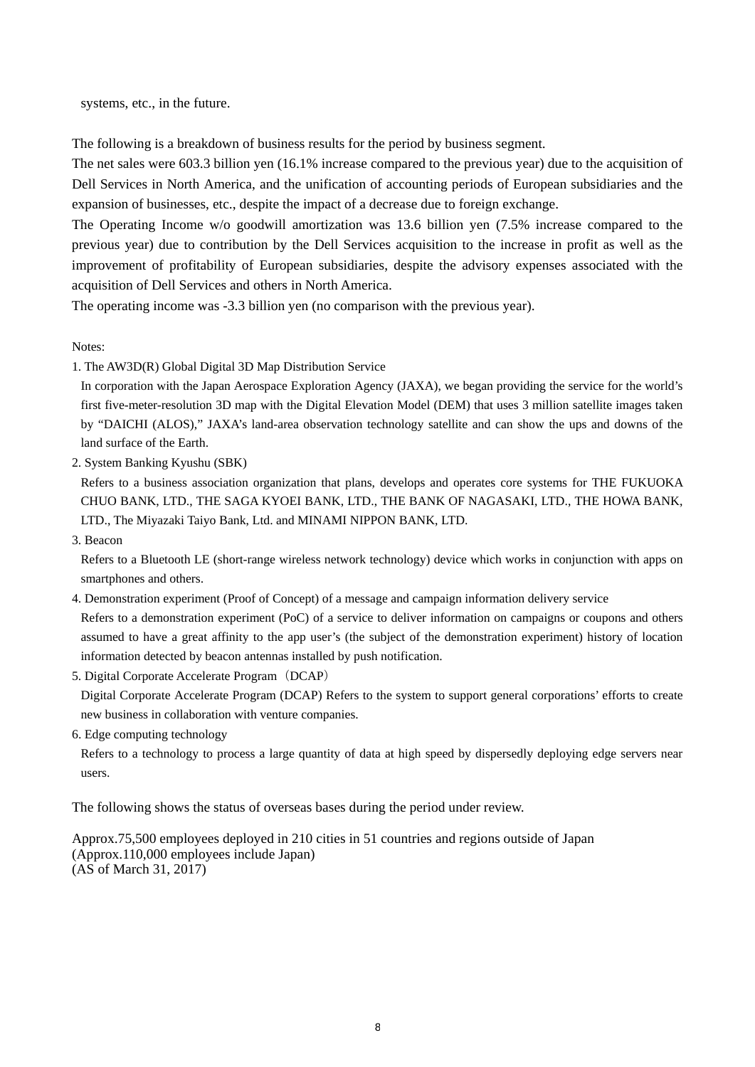systems, etc., in the future.

The following is a breakdown of business results for the period by business segment.

The net sales were 603.3 billion yen (16.1% increase compared to the previous year) due to the acquisition of Dell Services in North America, and the unification of accounting periods of European subsidiaries and the expansion of businesses, etc., despite the impact of a decrease due to foreign exchange.

The Operating Income w/o goodwill amortization was 13.6 billion yen (7.5% increase compared to the previous year) due to contribution by the Dell Services acquisition to the increase in profit as well as the improvement of profitability of European subsidiaries, despite the advisory expenses associated with the acquisition of Dell Services and others in North America.

The operating income was -3.3 billion yen (no comparison with the previous year).

Notes:

1. The AW3D(R) Global Digital 3D Map Distribution Service

In corporation with the Japan Aerospace Exploration Agency (JAXA), we began providing the service for the world's first five-meter-resolution 3D map with the Digital Elevation Model (DEM) that uses 3 million satellite images taken by "DAICHI (ALOS)," JAXA's land-area observation technology satellite and can show the ups and downs of the land surface of the Earth.

2. System Banking Kyushu (SBK)

Refers to a business association organization that plans, develops and operates core systems for THE FUKUOKA CHUO BANK, LTD., THE SAGA KYOEI BANK, LTD., THE BANK OF NAGASAKI, LTD., THE HOWA BANK, LTD., The Miyazaki Taiyo Bank, Ltd. and MINAMI NIPPON BANK, LTD.

3. Beacon

Refers to a Bluetooth LE (short-range wireless network technology) device which works in conjunction with apps on smartphones and others.

4. Demonstration experiment (Proof of Concept) of a message and campaign information delivery service

Refers to a demonstration experiment (PoC) of a service to deliver information on campaigns or coupons and others assumed to have a great affinity to the app user's (the subject of the demonstration experiment) history of location information detected by beacon antennas installed by push notification.

5. Digital Corporate Accelerate Program (DCAP)

Digital Corporate Accelerate Program (DCAP) Refers to the system to support general corporations' efforts to create new business in collaboration with venture companies.

6. Edge computing technology

Refers to a technology to process a large quantity of data at high speed by dispersedly deploying edge servers near users.

The following shows the status of overseas bases during the period under review.

Approx.75,500 employees deployed in 210 cities in 51 countries and regions outside of Japan (Approx.110,000 employees include Japan) (AS of March 31, 2017)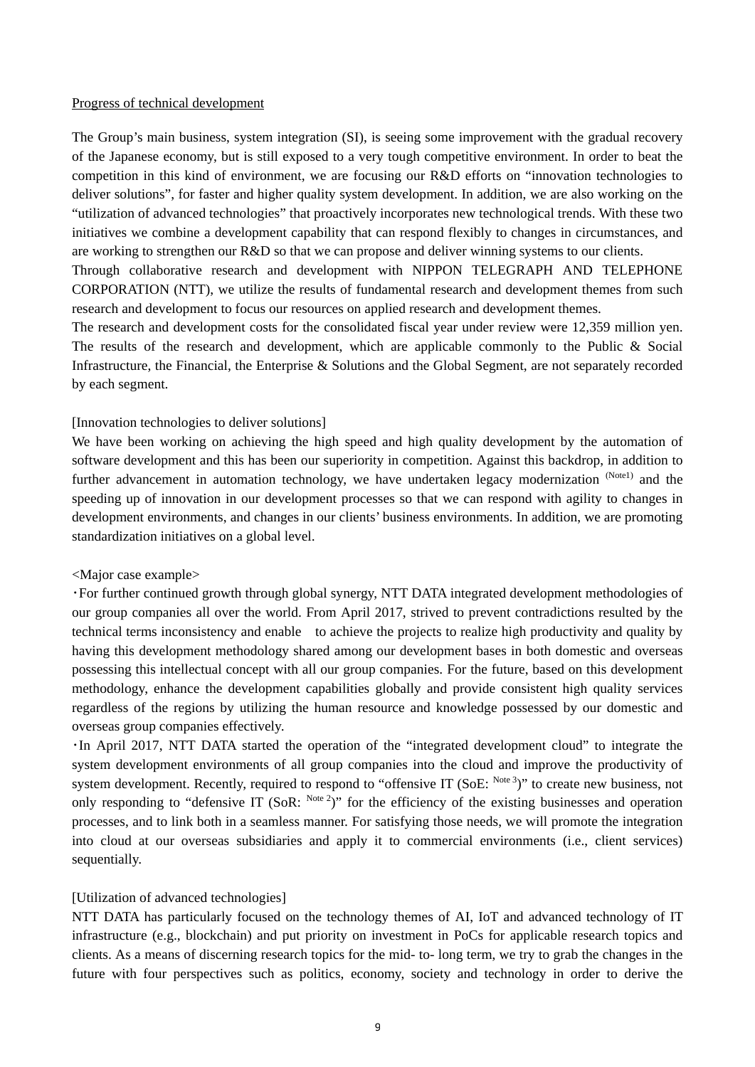#### Progress of technical development

The Group's main business, system integration (SI), is seeing some improvement with the gradual recovery of the Japanese economy, but is still exposed to a very tough competitive environment. In order to beat the competition in this kind of environment, we are focusing our R&D efforts on "innovation technologies to deliver solutions", for faster and higher quality system development. In addition, we are also working on the "utilization of advanced technologies" that proactively incorporates new technological trends. With these two initiatives we combine a development capability that can respond flexibly to changes in circumstances, and are working to strengthen our R&D so that we can propose and deliver winning systems to our clients.

Through collaborative research and development with NIPPON TELEGRAPH AND TELEPHONE CORPORATION (NTT), we utilize the results of fundamental research and development themes from such research and development to focus our resources on applied research and development themes.

The research and development costs for the consolidated fiscal year under review were 12,359 million yen. The results of the research and development, which are applicable commonly to the Public & Social Infrastructure, the Financial, the Enterprise & Solutions and the Global Segment, are not separately recorded by each segment.

#### [Innovation technologies to deliver solutions]

We have been working on achieving the high speed and high quality development by the automation of software development and this has been our superiority in competition. Against this backdrop, in addition to further advancement in automation technology, we have undertaken legacy modernization (Notel) and the speeding up of innovation in our development processes so that we can respond with agility to changes in development environments, and changes in our clients' business environments. In addition, we are promoting standardization initiatives on a global level.

#### <Major case example>

・For further continued growth through global synergy, NTT DATA integrated development methodologies of our group companies all over the world. From April 2017, strived to prevent contradictions resulted by the technical terms inconsistency and enable to achieve the projects to realize high productivity and quality by having this development methodology shared among our development bases in both domestic and overseas possessing this intellectual concept with all our group companies. For the future, based on this development methodology, enhance the development capabilities globally and provide consistent high quality services regardless of the regions by utilizing the human resource and knowledge possessed by our domestic and overseas group companies effectively.

・In April 2017, NTT DATA started the operation of the "integrated development cloud" to integrate the system development environments of all group companies into the cloud and improve the productivity of system development. Recently, required to respond to "offensive IT (SoE: Note 3)" to create new business, not only responding to "defensive IT (SoR:  $^{Note 2}$ )" for the efficiency of the existing businesses and operation processes, and to link both in a seamless manner. For satisfying those needs, we will promote the integration into cloud at our overseas subsidiaries and apply it to commercial environments (i.e., client services) sequentially.

#### [Utilization of advanced technologies]

NTT DATA has particularly focused on the technology themes of AI, IoT and advanced technology of IT infrastructure (e.g., blockchain) and put priority on investment in PoCs for applicable research topics and clients. As a means of discerning research topics for the mid- to- long term, we try to grab the changes in the future with four perspectives such as politics, economy, society and technology in order to derive the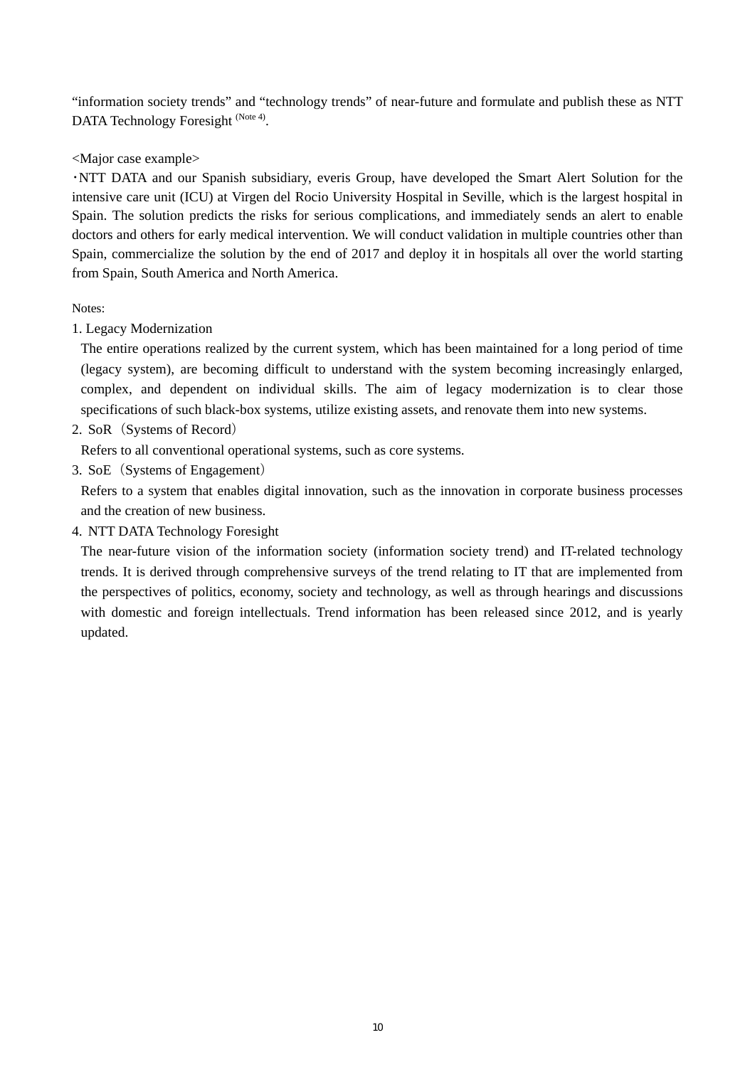"information society trends" and "technology trends" of near-future and formulate and publish these as NTT DATA Technology Foresight (Note 4).

# <Major case example>

・NTT DATA and our Spanish subsidiary, everis Group, have developed the Smart Alert Solution for the intensive care unit (ICU) at Virgen del Rocio University Hospital in Seville, which is the largest hospital in Spain. The solution predicts the risks for serious complications, and immediately sends an alert to enable doctors and others for early medical intervention. We will conduct validation in multiple countries other than Spain, commercialize the solution by the end of 2017 and deploy it in hospitals all over the world starting from Spain, South America and North America.

# Notes:

1. Legacy Modernization

The entire operations realized by the current system, which has been maintained for a long period of time (legacy system), are becoming difficult to understand with the system becoming increasingly enlarged, complex, and dependent on individual skills. The aim of legacy modernization is to clear those specifications of such black-box systems, utilize existing assets, and renovate them into new systems.

2. SoR (Systems of Record)

Refers to all conventional operational systems, such as core systems.

3. SoE(Systems of Engagement)

Refers to a system that enables digital innovation, such as the innovation in corporate business processes and the creation of new business.

4. NTT DATA Technology Foresight

The near-future vision of the information society (information society trend) and IT-related technology trends. It is derived through comprehensive surveys of the trend relating to IT that are implemented from the perspectives of politics, economy, society and technology, as well as through hearings and discussions with domestic and foreign intellectuals. Trend information has been released since 2012, and is yearly updated.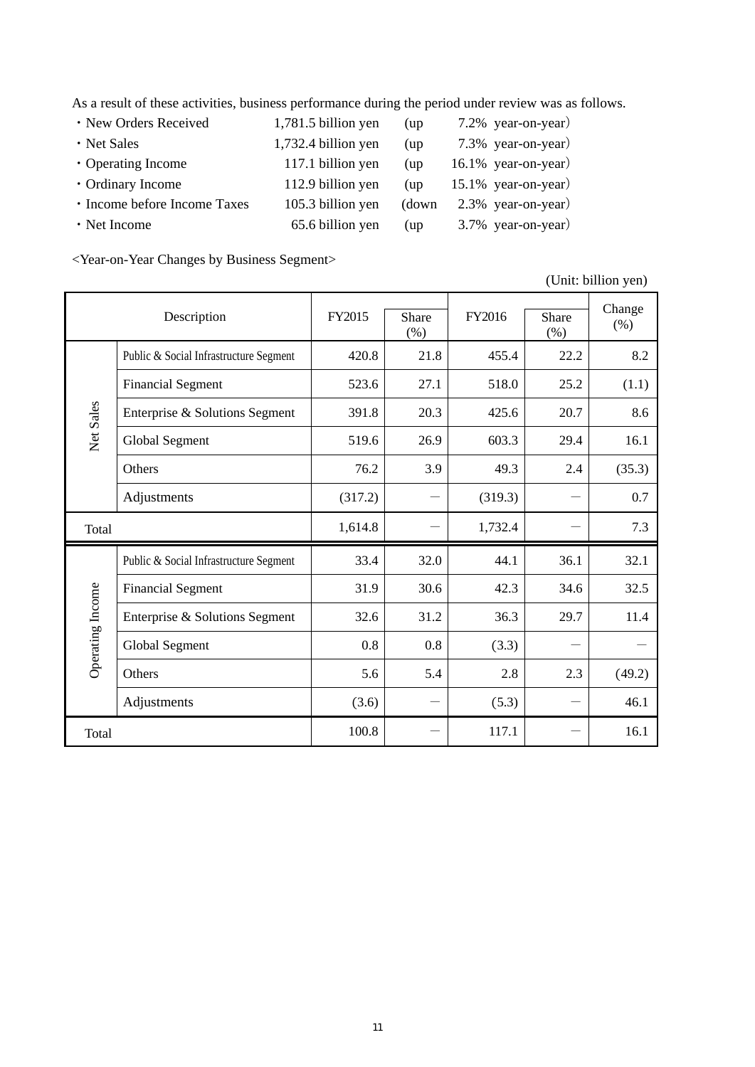As a result of these activities, business performance during the period under review was as follows.

| · New Orders Received        | 1,781.5 billion yen | (up)   | 7.2% year-on-year)     |
|------------------------------|---------------------|--------|------------------------|
| • Net Sales                  | 1,732.4 billion yen | $(u$ p | 7.3% year-on-year)     |
| • Operating Income           | 117.1 billion yen   | (up)   | $16.1\%$ year-on-year) |
| • Ordinary Income            | 112.9 billion yen   | $(u$ p | $15.1\%$ year-on-year) |
| • Income before Income Taxes | 105.3 billion yen   | (down) | 2.3% year-on-year)     |
| • Net Income                 | 65.6 billion yen    | (up)   | 3.7% year-on-year)     |

<Year-on-Year Changes by Business Segment>

(Unit: billion yen)

| Description      |                                        | FY2015  | Share<br>$(\% )$ | FY2016  | Share<br>$(\% )$ | Change<br>(% ) |
|------------------|----------------------------------------|---------|------------------|---------|------------------|----------------|
|                  | Public & Social Infrastructure Segment | 420.8   | 21.8             | 455.4   | 22.2             | 8.2            |
|                  | <b>Financial Segment</b>               | 523.6   | 27.1             | 518.0   | 25.2             | (1.1)          |
| Net Sales        | Enterprise & Solutions Segment         | 391.8   | 20.3             | 425.6   | 20.7             | 8.6            |
|                  | <b>Global Segment</b>                  | 519.6   | 26.9             | 603.3   | 29.4             | 16.1           |
|                  | Others                                 | 76.2    | 3.9              | 49.3    | 2.4              | (35.3)         |
|                  | Adjustments                            | (317.2) |                  | (319.3) |                  | 0.7            |
| Total            |                                        | 1,614.8 |                  | 1,732.4 |                  | 7.3            |
|                  | Public & Social Infrastructure Segment | 33.4    | 32.0             | 44.1    | 36.1             | 32.1           |
|                  | <b>Financial Segment</b>               | 31.9    | 30.6             | 42.3    | 34.6             | 32.5           |
|                  | Enterprise & Solutions Segment         | 32.6    | 31.2             | 36.3    | 29.7             | 11.4           |
| Operating Income | <b>Global Segment</b>                  | 0.8     | 0.8              | (3.3)   |                  |                |
|                  | Others                                 | 5.6     | 5.4              | 2.8     | 2.3              | (49.2)         |
|                  | Adjustments                            | (3.6)   |                  | (5.3)   |                  | 46.1           |
| Total            |                                        | 100.8   |                  | 117.1   |                  | 16.1           |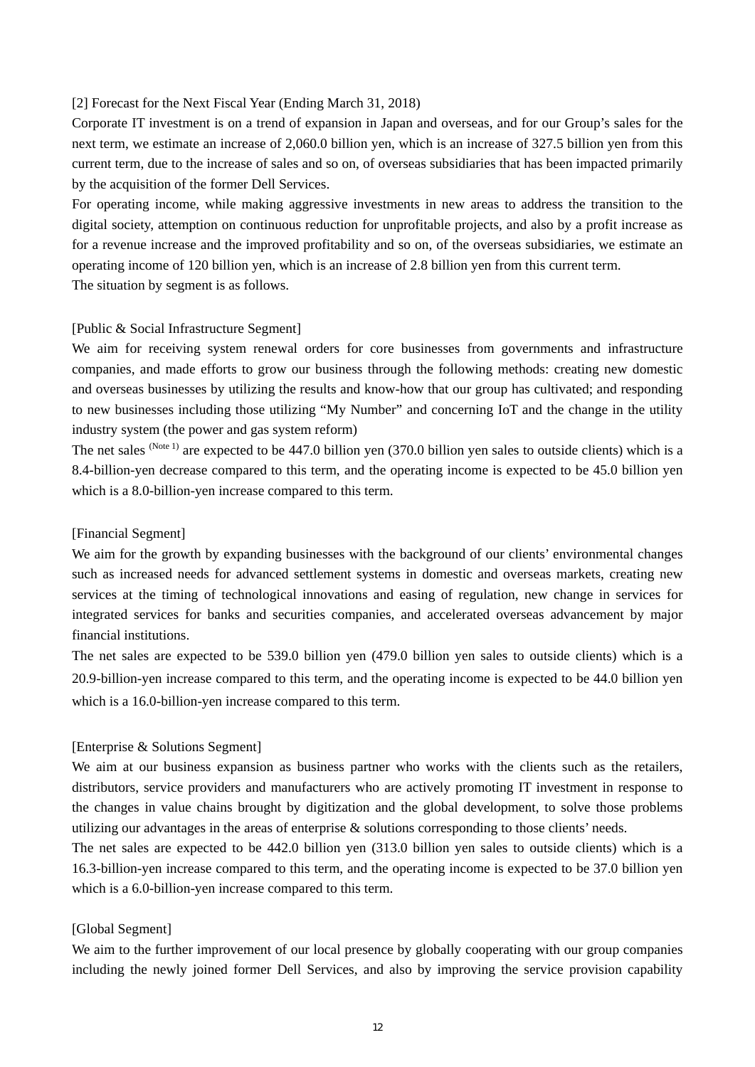#### [2] Forecast for the Next Fiscal Year (Ending March 31, 2018)

Corporate IT investment is on a trend of expansion in Japan and overseas, and for our Group's sales for the next term, we estimate an increase of 2,060.0 billion yen, which is an increase of 327.5 billion yen from this current term, due to the increase of sales and so on, of overseas subsidiaries that has been impacted primarily by the acquisition of the former Dell Services.

For operating income, while making aggressive investments in new areas to address the transition to the digital society, attemption on continuous reduction for unprofitable projects, and also by a profit increase as for a revenue increase and the improved profitability and so on, of the overseas subsidiaries, we estimate an operating income of 120 billion yen, which is an increase of 2.8 billion yen from this current term. The situation by segment is as follows.

### [Public & Social Infrastructure Segment]

We aim for receiving system renewal orders for core businesses from governments and infrastructure companies, and made efforts to grow our business through the following methods: creating new domestic and overseas businesses by utilizing the results and know-how that our group has cultivated; and responding to new businesses including those utilizing "My Number" and concerning IoT and the change in the utility industry system (the power and gas system reform)

The net sales  $(N^{O (t-1)})$  are expected to be 447.0 billion yen (370.0 billion yen sales to outside clients) which is a 8.4-billion-yen decrease compared to this term, and the operating income is expected to be 45.0 billion yen which is a 8.0-billion-yen increase compared to this term.

# [Financial Segment]

We aim for the growth by expanding businesses with the background of our clients' environmental changes such as increased needs for advanced settlement systems in domestic and overseas markets, creating new services at the timing of technological innovations and easing of regulation, new change in services for integrated services for banks and securities companies, and accelerated overseas advancement by major financial institutions.

The net sales are expected to be 539.0 billion yen (479.0 billion yen sales to outside clients) which is a 20.9-billion-yen increase compared to this term, and the operating income is expected to be 44.0 billion yen which is a 16.0-billion-yen increase compared to this term.

#### [Enterprise & Solutions Segment]

We aim at our business expansion as business partner who works with the clients such as the retailers, distributors, service providers and manufacturers who are actively promoting IT investment in response to the changes in value chains brought by digitization and the global development, to solve those problems utilizing our advantages in the areas of enterprise & solutions corresponding to those clients' needs.

The net sales are expected to be 442.0 billion yen (313.0 billion yen sales to outside clients) which is a 16.3-billion-yen increase compared to this term, and the operating income is expected to be 37.0 billion yen which is a 6.0-billion-yen increase compared to this term.

#### [Global Segment]

We aim to the further improvement of our local presence by globally cooperating with our group companies including the newly joined former Dell Services, and also by improving the service provision capability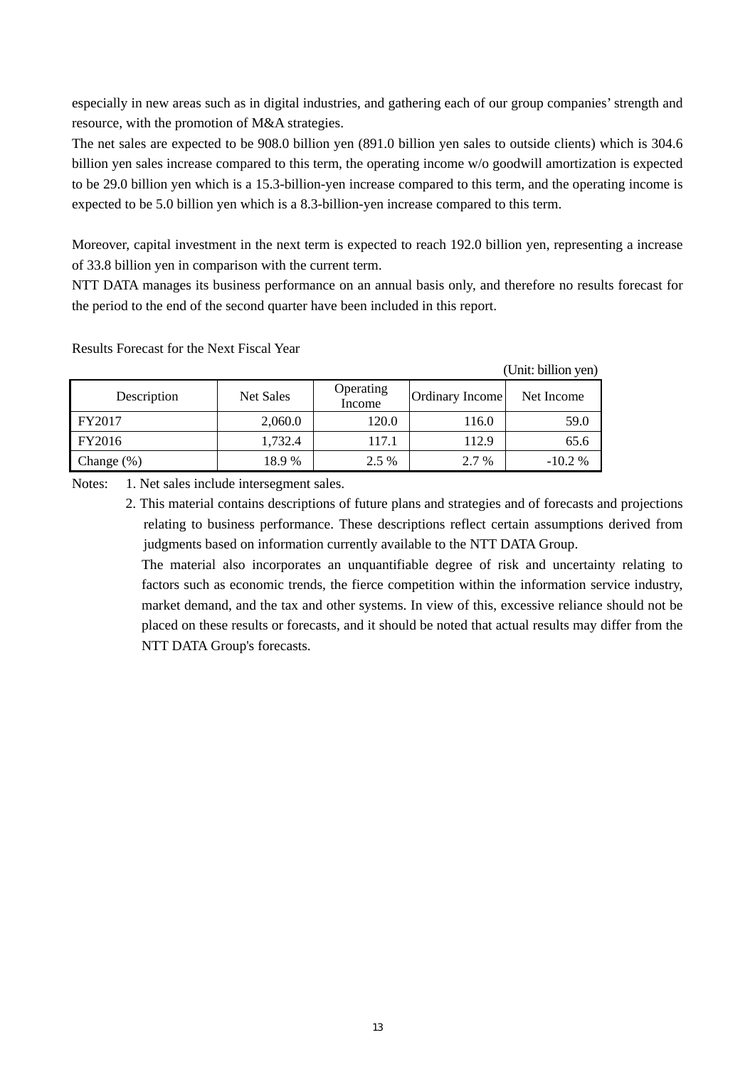especially in new areas such as in digital industries, and gathering each of our group companies' strength and resource, with the promotion of M&A strategies.

The net sales are expected to be 908.0 billion yen (891.0 billion yen sales to outside clients) which is 304.6 billion yen sales increase compared to this term, the operating income w/o goodwill amortization is expected to be 29.0 billion yen which is a 15.3-billion-yen increase compared to this term, and the operating income is expected to be 5.0 billion yen which is a 8.3-billion-yen increase compared to this term.

Moreover, capital investment in the next term is expected to reach 192.0 billion yen, representing a increase of 33.8 billion yen in comparison with the current term.

NTT DATA manages its business performance on an annual basis only, and therefore no results forecast for the period to the end of the second quarter have been included in this report.

|               |                  |                     |                 | (Unit: billion yen) |
|---------------|------------------|---------------------|-----------------|---------------------|
| Description   | <b>Net Sales</b> | Operating<br>Income | Ordinary Income | Net Income          |
| FY2017        | 2,060.0          | 120.0               | 116.0           | 59.0                |
| FY2016        | 1,732.4          | 117.1               | 112.9           | 65.6                |
| Change $(\%)$ | 18.9%            | $2.5\%$             | 2.7 %           | $-10.2\%$           |

Results Forecast for the Next Fiscal Year

Notes: 1. Net sales include intersegment sales.

2. This material contains descriptions of future plans and strategies and of forecasts and projections relating to business performance. These descriptions reflect certain assumptions derived from judgments based on information currently available to the NTT DATA Group.

The material also incorporates an unquantifiable degree of risk and uncertainty relating to factors such as economic trends, the fierce competition within the information service industry, market demand, and the tax and other systems. In view of this, excessive reliance should not be placed on these results or forecasts, and it should be noted that actual results may differ from the NTT DATA Group's forecasts.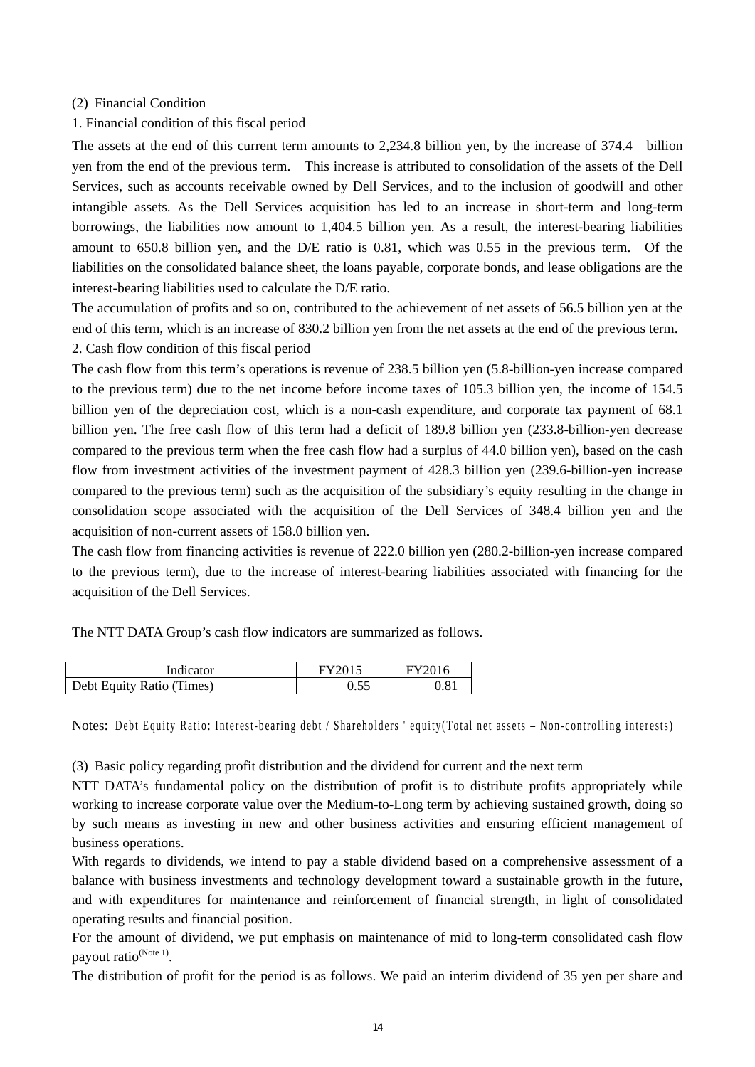#### (2) Financial Condition

#### 1. Financial condition of this fiscal period

The assets at the end of this current term amounts to 2,234.8 billion yen, by the increase of 374.4 billion yen from the end of the previous term. This increase is attributed to consolidation of the assets of the Dell Services, such as accounts receivable owned by Dell Services, and to the inclusion of goodwill and other intangible assets. As the Dell Services acquisition has led to an increase in short-term and long-term borrowings, the liabilities now amount to 1,404.5 billion yen. As a result, the interest-bearing liabilities amount to 650.8 billion yen, and the D/E ratio is 0.81, which was 0.55 in the previous term. Of the liabilities on the consolidated balance sheet, the loans payable, corporate bonds, and lease obligations are the interest-bearing liabilities used to calculate the D/E ratio.

The accumulation of profits and so on, contributed to the achievement of net assets of 56.5 billion yen at the end of this term, which is an increase of 830.2 billion yen from the net assets at the end of the previous term. 2. Cash flow condition of this fiscal period

The cash flow from this term's operations is revenue of 238.5 billion yen (5.8-billion-yen increase compared to the previous term) due to the net income before income taxes of 105.3 billion yen, the income of 154.5 billion yen of the depreciation cost, which is a non-cash expenditure, and corporate tax payment of 68.1 billion yen. The free cash flow of this term had a deficit of 189.8 billion yen (233.8-billion-yen decrease compared to the previous term when the free cash flow had a surplus of 44.0 billion yen), based on the cash flow from investment activities of the investment payment of 428.3 billion yen (239.6-billion-yen increase compared to the previous term) such as the acquisition of the subsidiary's equity resulting in the change in consolidation scope associated with the acquisition of the Dell Services of 348.4 billion yen and the acquisition of non-current assets of 158.0 billion yen.

The cash flow from financing activities is revenue of 222.0 billion yen (280.2-billion-yen increase compared to the previous term), due to the increase of interest-bearing liabilities associated with financing for the acquisition of the Dell Services.

The NTT DATA Group's cash flow indicators are summarized as follows.

| Indicator                 |      |  |
|---------------------------|------|--|
| Debt Equity Ratio (Times) | U.JJ |  |

Notes: Debt Equity Ratio: Interest-bearing debt / Shareholders ' equity(Total net assets – Non-controlling interests)

(3) Basic policy regarding profit distribution and the dividend for current and the next term

NTT DATA's fundamental policy on the distribution of profit is to distribute profits appropriately while working to increase corporate value over the Medium-to-Long term by achieving sustained growth, doing so by such means as investing in new and other business activities and ensuring efficient management of business operations.

With regards to dividends, we intend to pay a stable dividend based on a comprehensive assessment of a balance with business investments and technology development toward a sustainable growth in the future, and with expenditures for maintenance and reinforcement of financial strength, in light of consolidated operating results and financial position.

For the amount of dividend, we put emphasis on maintenance of mid to long-term consolidated cash flow payout ratio(Note 1).

The distribution of profit for the period is as follows. We paid an interim dividend of 35 yen per share and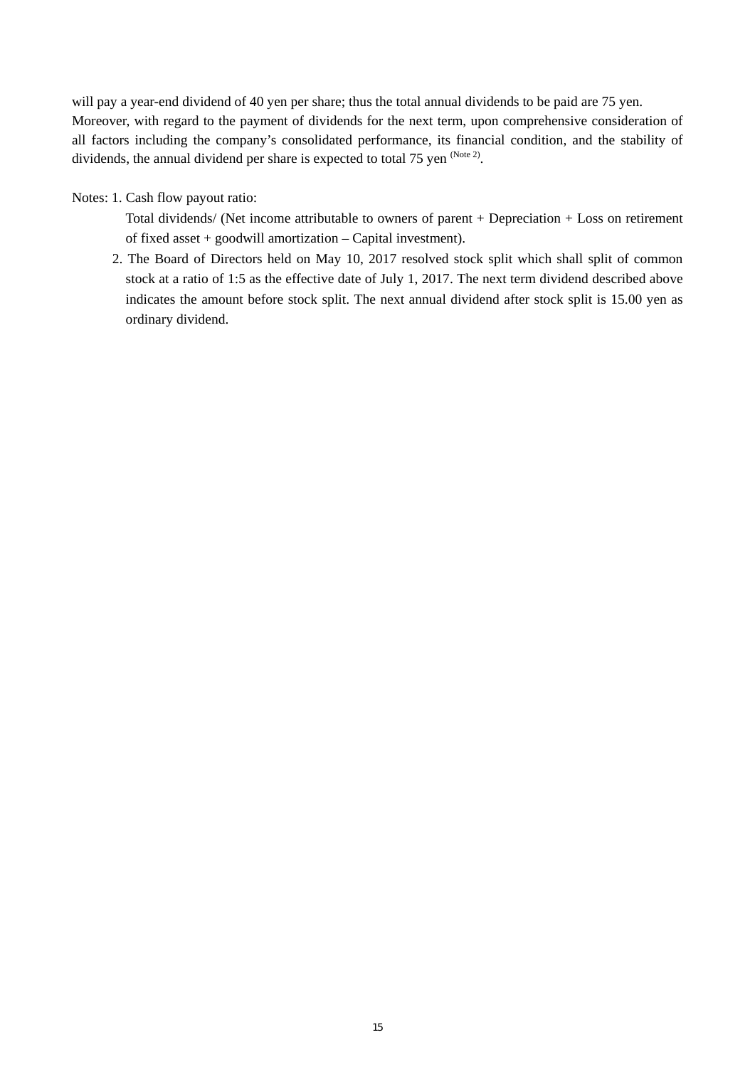will pay a year-end dividend of 40 yen per share; thus the total annual dividends to be paid are 75 yen. Moreover, with regard to the payment of dividends for the next term, upon comprehensive consideration of all factors including the company's consolidated performance, its financial condition, and the stability of dividends, the annual dividend per share is expected to total 75 yen (Note 2).

Notes: 1. Cash flow payout ratio:

- Total dividends/ (Net income attributable to owners of parent + Depreciation + Loss on retirement of fixed asset + goodwill amortization – Capital investment).
- 2. The Board of Directors held on May 10, 2017 resolved stock split which shall split of common stock at a ratio of 1:5 as the effective date of July 1, 2017. The next term dividend described above indicates the amount before stock split. The next annual dividend after stock split is 15.00 yen as ordinary dividend.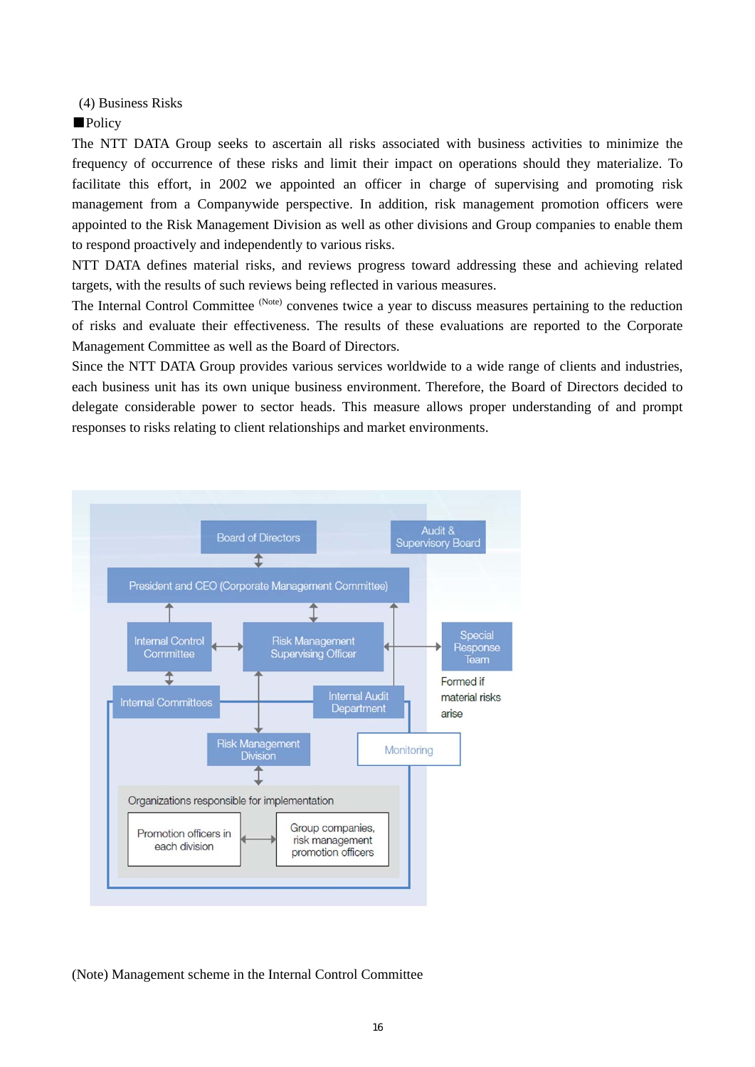(4) Business Risks

■Policy

The NTT DATA Group seeks to ascertain all risks associated with business activities to minimize the frequency of occurrence of these risks and limit their impact on operations should they materialize. To facilitate this effort, in 2002 we appointed an officer in charge of supervising and promoting risk management from a Companywide perspective. In addition, risk management promotion officers were appointed to the Risk Management Division as well as other divisions and Group companies to enable them to respond proactively and independently to various risks.

NTT DATA defines material risks, and reviews progress toward addressing these and achieving related targets, with the results of such reviews being reflected in various measures.

The Internal Control Committee <sup>(Note)</sup> convenes twice a year to discuss measures pertaining to the reduction of risks and evaluate their effectiveness. The results of these evaluations are reported to the Corporate Management Committee as well as the Board of Directors.

Since the NTT DATA Group provides various services worldwide to a wide range of clients and industries, each business unit has its own unique business environment. Therefore, the Board of Directors decided to delegate considerable power to sector heads. This measure allows proper understanding of and prompt responses to risks relating to client relationships and market environments.



#### (Note) Management scheme in the Internal Control Committee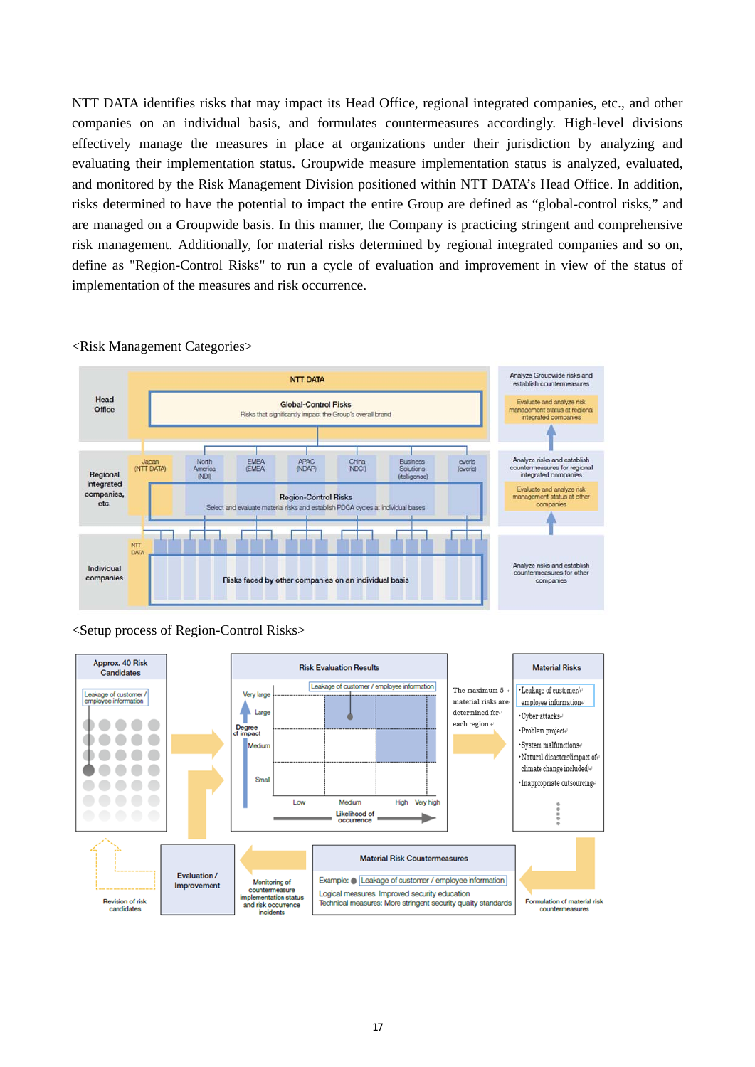NTT DATA identifies risks that may impact its Head Office, regional integrated companies, etc., and other companies on an individual basis, and formulates countermeasures accordingly. High-level divisions effectively manage the measures in place at organizations under their jurisdiction by analyzing and evaluating their implementation status. Groupwide measure implementation status is analyzed, evaluated, and monitored by the Risk Management Division positioned within NTT DATA's Head Office. In addition, risks determined to have the potential to impact the entire Group are defined as "global-control risks," and are managed on a Groupwide basis. In this manner, the Company is practicing stringent and comprehensive risk management. Additionally, for material risks determined by regional integrated companies and so on, define as "Region-Control Risks" to run a cycle of evaluation and improvement in view of the status of implementation of the measures and risk occurrence.



#### <Risk Management Categories>

<Setup process of Region-Control Risks>

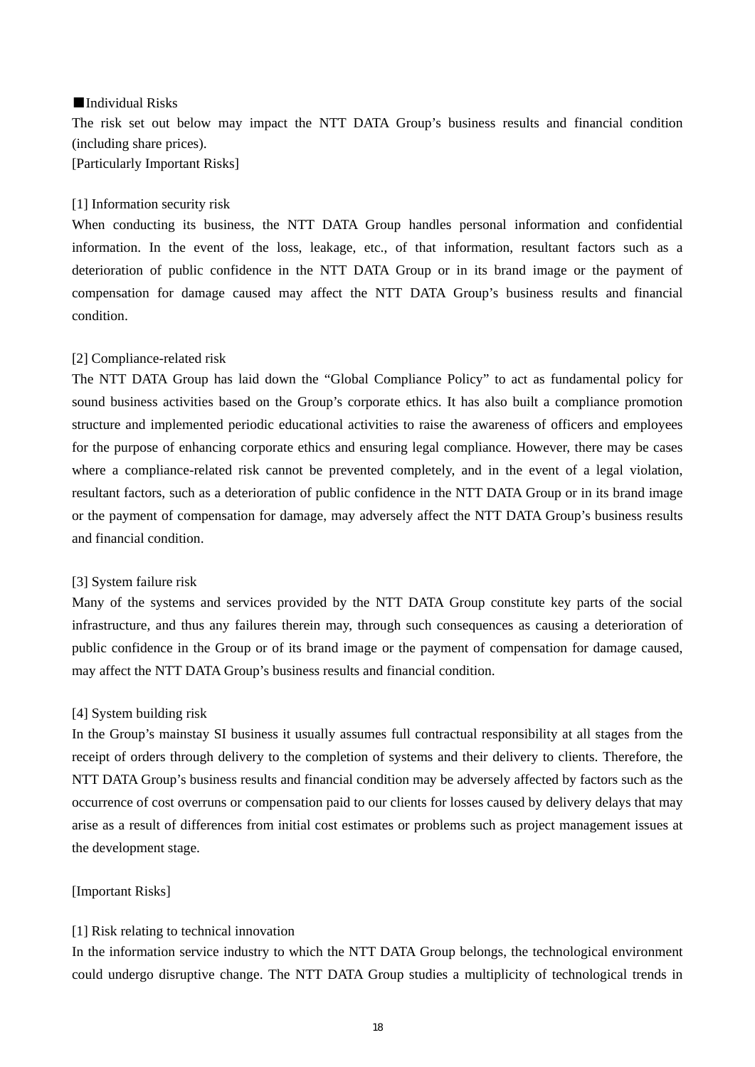#### ■Individual Risks

The risk set out below may impact the NTT DATA Group's business results and financial condition (including share prices). [Particularly Important Risks]

#### [1] Information security risk

When conducting its business, the NTT DATA Group handles personal information and confidential information. In the event of the loss, leakage, etc., of that information, resultant factors such as a deterioration of public confidence in the NTT DATA Group or in its brand image or the payment of compensation for damage caused may affect the NTT DATA Group's business results and financial condition.

#### [2] Compliance-related risk

The NTT DATA Group has laid down the "Global Compliance Policy" to act as fundamental policy for sound business activities based on the Group's corporate ethics. It has also built a compliance promotion structure and implemented periodic educational activities to raise the awareness of officers and employees for the purpose of enhancing corporate ethics and ensuring legal compliance. However, there may be cases where a compliance-related risk cannot be prevented completely, and in the event of a legal violation, resultant factors, such as a deterioration of public confidence in the NTT DATA Group or in its brand image or the payment of compensation for damage, may adversely affect the NTT DATA Group's business results and financial condition.

#### [3] System failure risk

Many of the systems and services provided by the NTT DATA Group constitute key parts of the social infrastructure, and thus any failures therein may, through such consequences as causing a deterioration of public confidence in the Group or of its brand image or the payment of compensation for damage caused, may affect the NTT DATA Group's business results and financial condition.

#### [4] System building risk

In the Group's mainstay SI business it usually assumes full contractual responsibility at all stages from the receipt of orders through delivery to the completion of systems and their delivery to clients. Therefore, the NTT DATA Group's business results and financial condition may be adversely affected by factors such as the occurrence of cost overruns or compensation paid to our clients for losses caused by delivery delays that may arise as a result of differences from initial cost estimates or problems such as project management issues at the development stage.

#### [Important Risks]

#### [1] Risk relating to technical innovation

In the information service industry to which the NTT DATA Group belongs, the technological environment could undergo disruptive change. The NTT DATA Group studies a multiplicity of technological trends in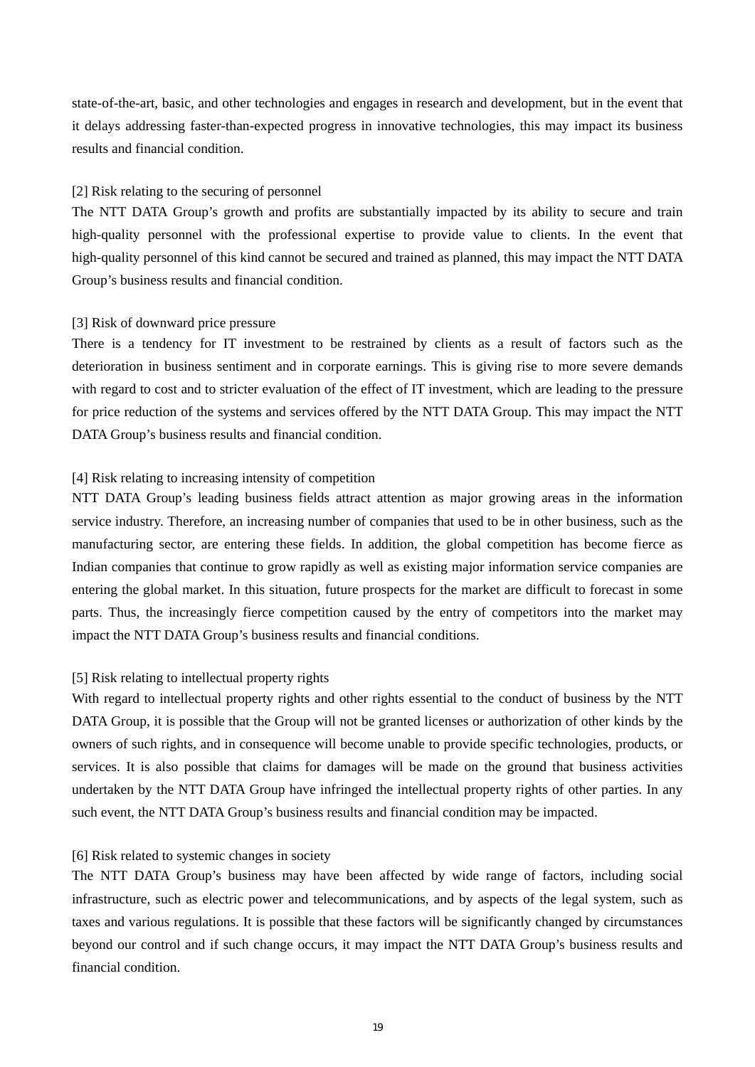state-of-the-art, basic, and other technologies and engages in research and development, but in the event that it delays addressing faster-than-expected progress in innovative technologies, this may impact its business results and financial condition.

# [2] Risk relating to the securing of personnel

The NTT DATA Group's growth and profits are substantially impacted by its ability to secure and train high-quality personnel with the professional expertise to provide value to clients. In the event that high-quality personnel of this kind cannot be secured and trained as planned, this may impact the NTT DATA Group's business results and financial condition.

#### [3] Risk of downward price pressure

There is a tendency for IT investment to be restrained by clients as a result of factors such as the deterioration in business sentiment and in corporate earnings. This is giving rise to more severe demands with regard to cost and to stricter evaluation of the effect of IT investment, which are leading to the pressure for price reduction of the systems and services offered by the NTT DATA Group. This may impact the NTT DATA Group's business results and financial condition.

## [4] Risk relating to increasing intensity of competition

NTT DATA Group's leading business fields attract attention as major growing areas in the information service industry. Therefore, an increasing number of companies that used to be in other business, such as the manufacturing sector, are entering these fields. In addition, the global competition has become fierce as Indian companies that continue to grow rapidly as well as existing major information service companies are entering the global market. In this situation, future prospects for the market are difficult to forecast in some parts. Thus, the increasingly fierce competition caused by the entry of competitors into the market may impact the NTT DATA Group's business results and financial conditions.

#### [5] Risk relating to intellectual property rights

With regard to intellectual property rights and other rights essential to the conduct of business by the NTT DATA Group, it is possible that the Group will not be granted licenses or authorization of other kinds by the owners of such rights, and in consequence will become unable to provide specific technologies, products, or services. It is also possible that claims for damages will be made on the ground that business activities undertaken by the NTT DATA Group have infringed the intellectual property rights of other parties. In any such event, the NTT DATA Group's business results and financial condition may be impacted.

# [6] Risk related to systemic changes in society

The NTT DATA Group's business may have been affected by wide range of factors, including social infrastructure, such as electric power and telecommunications, and by aspects of the legal system, such as taxes and various regulations. It is possible that these factors will be significantly changed by circumstances beyond our control and if such change occurs, it may impact the NTT DATA Group's business results and financial condition.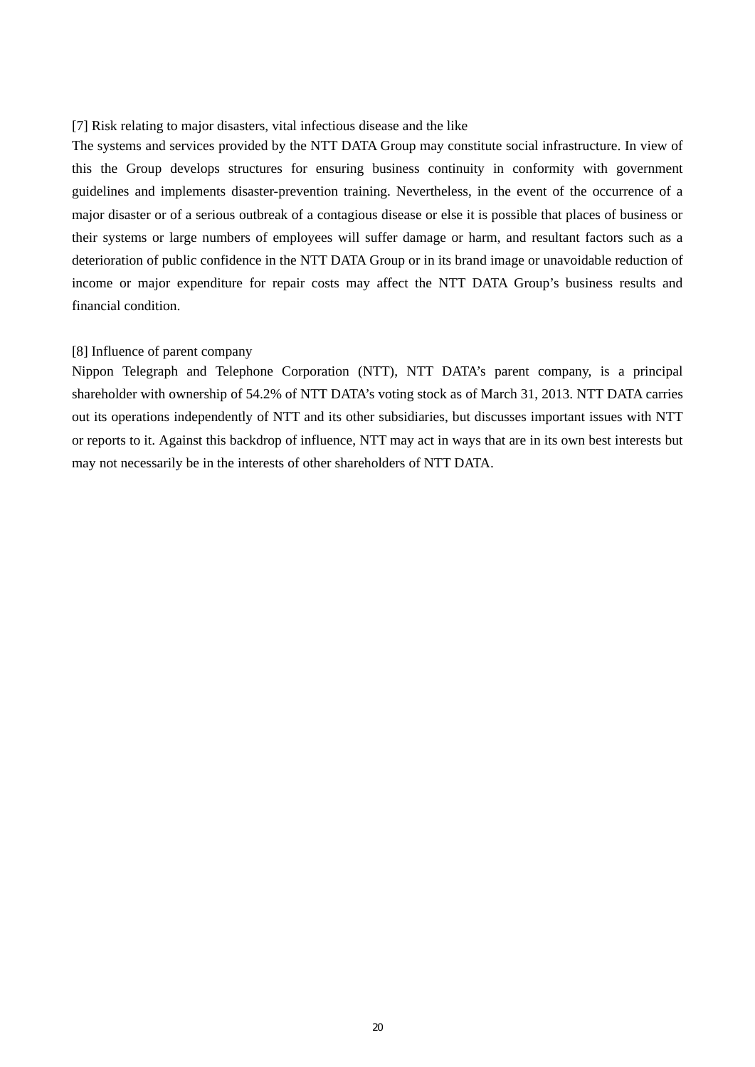[7] Risk relating to major disasters, vital infectious disease and the like

The systems and services provided by the NTT DATA Group may constitute social infrastructure. In view of this the Group develops structures for ensuring business continuity in conformity with government guidelines and implements disaster-prevention training. Nevertheless, in the event of the occurrence of a major disaster or of a serious outbreak of a contagious disease or else it is possible that places of business or their systems or large numbers of employees will suffer damage or harm, and resultant factors such as a deterioration of public confidence in the NTT DATA Group or in its brand image or unavoidable reduction of income or major expenditure for repair costs may affect the NTT DATA Group's business results and financial condition.

#### [8] Influence of parent company

Nippon Telegraph and Telephone Corporation (NTT), NTT DATA's parent company, is a principal shareholder with ownership of 54.2% of NTT DATA's voting stock as of March 31, 2013. NTT DATA carries out its operations independently of NTT and its other subsidiaries, but discusses important issues with NTT or reports to it. Against this backdrop of influence, NTT may act in ways that are in its own best interests but may not necessarily be in the interests of other shareholders of NTT DATA.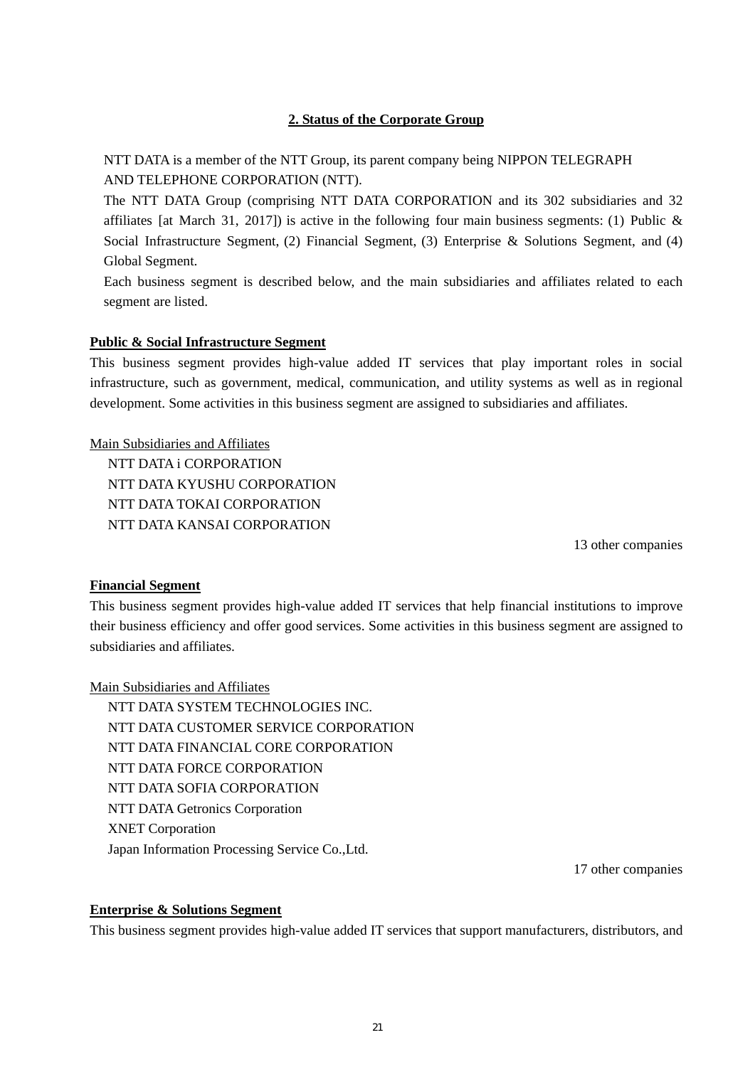# **2. Status of the Corporate Group**

NTT DATA is a member of the NTT Group, its parent company being NIPPON TELEGRAPH AND TELEPHONE CORPORATION (NTT).

The NTT DATA Group (comprising NTT DATA CORPORATION and its 302 subsidiaries and 32 affiliates [at March 31, 2017]) is active in the following four main business segments: (1) Public  $\&$ Social Infrastructure Segment, (2) Financial Segment, (3) Enterprise & Solutions Segment, and (4) Global Segment.

Each business segment is described below, and the main subsidiaries and affiliates related to each segment are listed.

# **Public & Social Infrastructure Segment**

This business segment provides high-value added IT services that play important roles in social infrastructure, such as government, medical, communication, and utility systems as well as in regional development. Some activities in this business segment are assigned to subsidiaries and affiliates.

# Main Subsidiaries and Affiliates

NTT DATA i CORPORATION NTT DATA KYUSHU CORPORATION NTT DATA TOKAI CORPORATION NTT DATA KANSAI CORPORATION

13 other companies

# **Financial Segment**

This business segment provides high-value added IT services that help financial institutions to improve their business efficiency and offer good services. Some activities in this business segment are assigned to subsidiaries and affiliates.

Main Subsidiaries and Affiliates

NTT DATA SYSTEM TECHNOLOGIES INC. NTT DATA CUSTOMER SERVICE CORPORATION NTT DATA FINANCIAL CORE CORPORATION NTT DATA FORCE CORPORATION NTT DATA SOFIA CORPORATION NTT DATA Getronics Corporation XNET Corporation Japan Information Processing Service Co.,Ltd.

17 other companies

# **Enterprise & Solutions Segment**

This business segment provides high-value added IT services that support manufacturers, distributors, and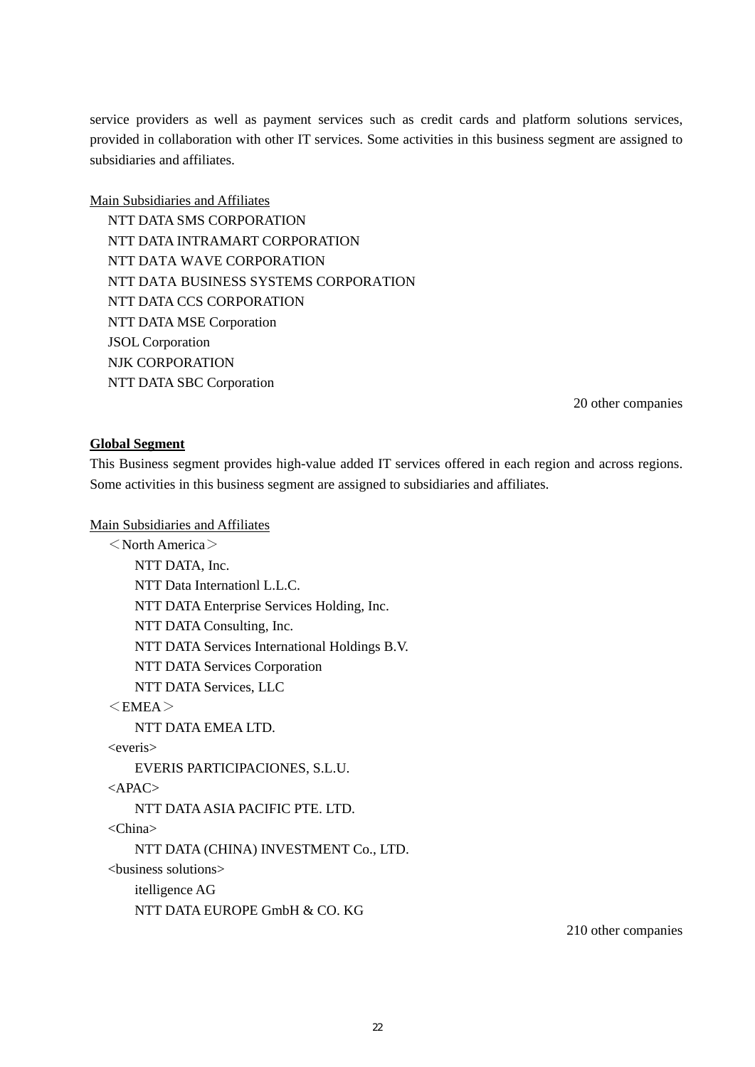service providers as well as payment services such as credit cards and platform solutions services, provided in collaboration with other IT services. Some activities in this business segment are assigned to subsidiaries and affiliates.

Main Subsidiaries and Affiliates

NTT DATA SMS CORPORATION NTT DATA INTRAMART CORPORATION NTT DATA WAVE CORPORATION NTT DATA BUSINESS SYSTEMS CORPORATION NTT DATA CCS CORPORATION NTT DATA MSE Corporation JSOL Corporation NJK CORPORATION NTT DATA SBC Corporation

20 other companies

# **Global Segment**

This Business segment provides high-value added IT services offered in each region and across regions. Some activities in this business segment are assigned to subsidiaries and affiliates.

# Main Subsidiaries and Affiliates

 $\langle$  North America $\rangle$ NTT DATA, Inc. NTT Data Internationl L.L.C. NTT DATA Enterprise Services Holding, Inc. NTT DATA Consulting, Inc. NTT DATA Services International Holdings B.V. NTT DATA Services Corporation NTT DATA Services, LLC  $<$ EMEA $>$ 

NTT DATA EMEA LTD.

<everis>

EVERIS PARTICIPACIONES, S.L.U.

<APAC>

NTT DATA ASIA PACIFIC PTE. LTD.

<China>

NTT DATA (CHINA) INVESTMENT Co., LTD.

<business solutions>

itelligence AG

NTT DATA EUROPE GmbH & CO. KG

210 other companies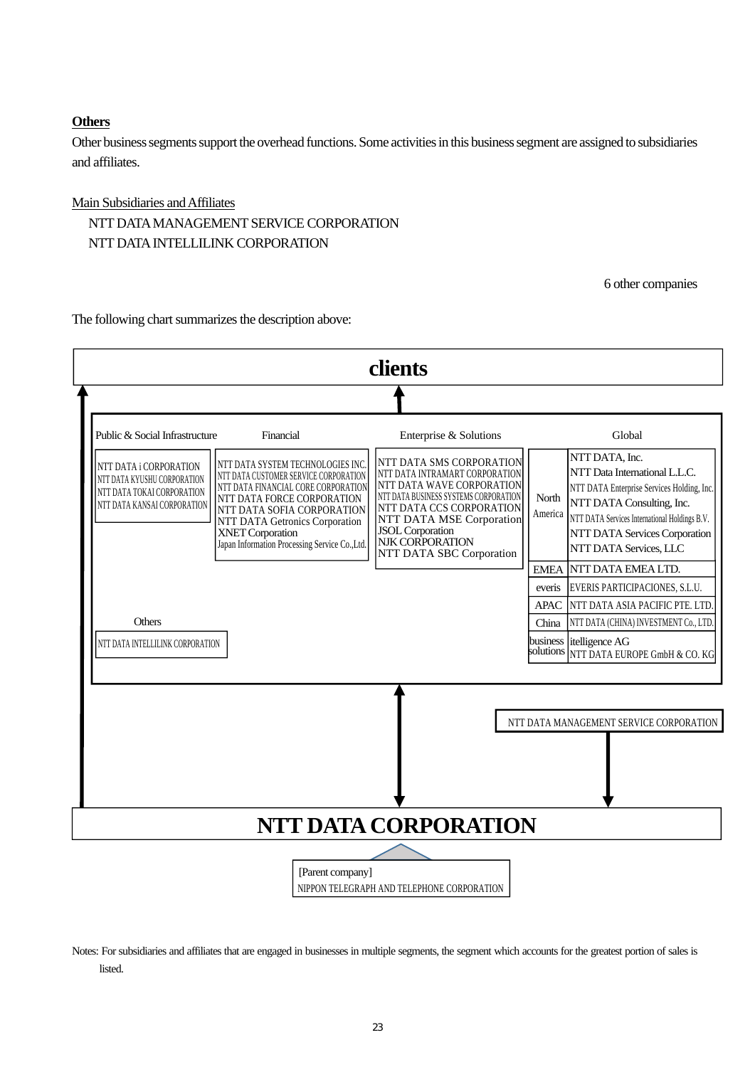# **Others**

Other business segments support the overhead functions. Some activities in this business segment are assigned to subsidiaries and affiliates.

# Main Subsidiaries and Affiliates NTT DATA MANAGEMENT SERVICE CORPORATION NTT DATA INTELLILINK CORPORATION

6 other companies

The following chart summarizes the description above:



Notes: For subsidiaries and affiliates that are engaged in businesses in multiple segments, the segment which accounts for the greatest portion of sales is listed.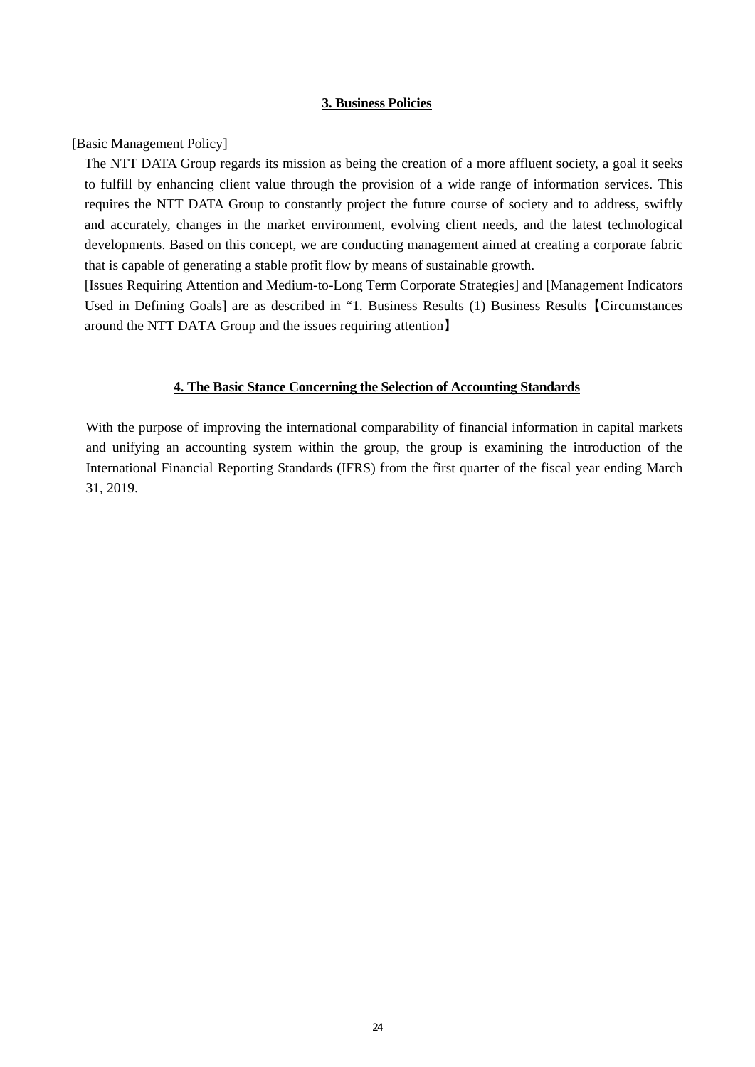# **3. Business Policies**

[Basic Management Policy]

The NTT DATA Group regards its mission as being the creation of a more affluent society, a goal it seeks to fulfill by enhancing client value through the provision of a wide range of information services. This requires the NTT DATA Group to constantly project the future course of society and to address, swiftly and accurately, changes in the market environment, evolving client needs, and the latest technological developments. Based on this concept, we are conducting management aimed at creating a corporate fabric that is capable of generating a stable profit flow by means of sustainable growth.

[Issues Requiring Attention and Medium-to-Long Term Corporate Strategies] and [Management Indicators Used in Defining Goals] are as described in "1. Business Results (1) Business Results【Circumstances around the NTT DATA Group and the issues requiring attention】

# **4. The Basic Stance Concerning the Selection of Accounting Standards**

With the purpose of improving the international comparability of financial information in capital markets and unifying an accounting system within the group, the group is examining the introduction of the International Financial Reporting Standards (IFRS) from the first quarter of the fiscal year ending March 31, 2019.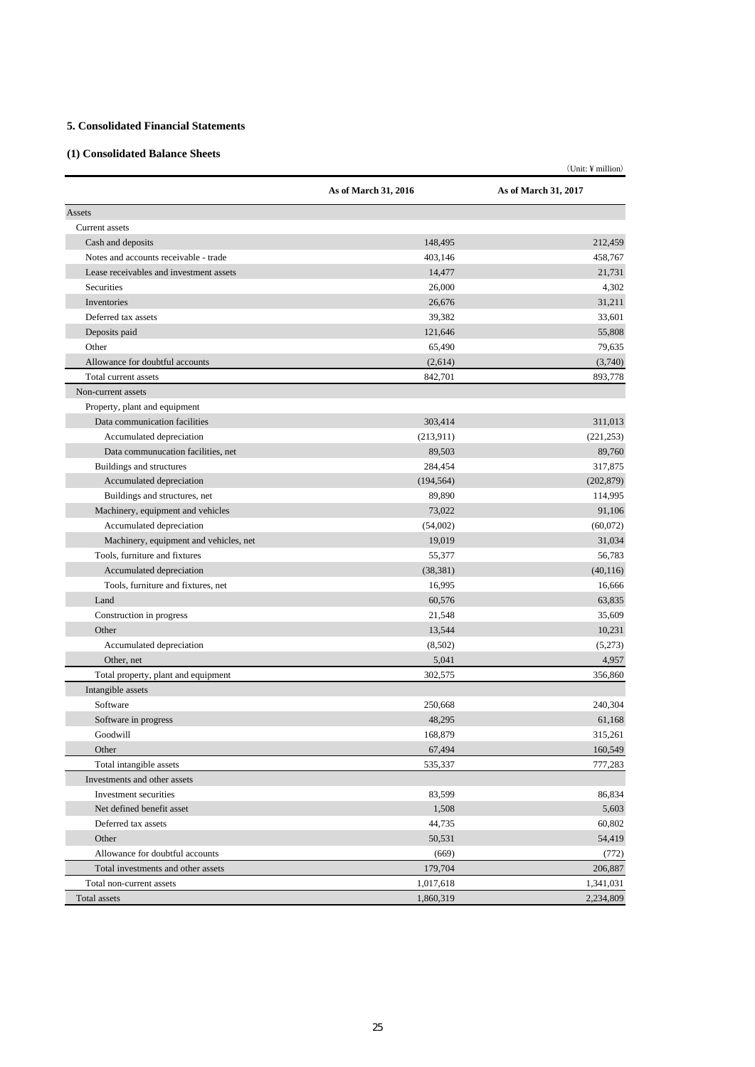### **5. Consolidated Financial Statements**

### **(1) Consolidated Balance Sheets**

|                                         |                      | $(Unit: \Psi million)$ |
|-----------------------------------------|----------------------|------------------------|
|                                         | As of March 31, 2016 | As of March 31, 2017   |
| Assets                                  |                      |                        |
| Current assets                          |                      |                        |
| Cash and deposits                       | 148,495              | 212,459                |
| Notes and accounts receivable - trade   | 403,146              | 458,767                |
| Lease receivables and investment assets | 14,477               | 21,731                 |
| Securities                              | 26,000               | 4,302                  |
| Inventories                             | 26,676               | 31,211                 |
| Deferred tax assets                     | 39,382               | 33,601                 |
| Deposits paid                           | 121,646              | 55,808                 |
| Other                                   | 65,490               | 79,635                 |
| Allowance for doubtful accounts         | (2,614)              | (3,740)                |
| Total current assets                    | 842,701              | 893,778                |
| Non-current assets                      |                      |                        |
| Property, plant and equipment           |                      |                        |
| Data communication facilities           | 303,414              | 311,013                |
| Accumulated depreciation                | (213,911)            | (221, 253)             |
| Data communucation facilities, net      | 89,503               | 89,760                 |
| Buildings and structures                | 284.454              | 317,875                |
| Accumulated depreciation                | (194, 564)           | (202, 879)             |
| Buildings and structures, net           | 89,890               | 114,995                |
| Machinery, equipment and vehicles       | 73,022               | 91,106                 |
| Accumulated depreciation                | (54,002)             | (60,072)               |
| Machinery, equipment and vehicles, net  | 19,019               | 31,034                 |
| Tools, furniture and fixtures           | 55,377               | 56.783                 |
| Accumulated depreciation                | (38, 381)            | (40, 116)              |
| Tools, furniture and fixtures, net      | 16,995               | 16,666                 |
| Land                                    | 60,576               | 63,835                 |
| Construction in progress                | 21,548               | 35,609                 |
| Other                                   | 13,544               | 10,231                 |
| Accumulated depreciation                | (8,502)              | (5,273)                |
| Other, net                              | 5,041                | 4,957                  |
| Total property, plant and equipment     | 302,575              | 356,860                |
| Intangible assets                       |                      |                        |
| Software                                | 250,668              | 240,304                |
| Software in progress                    | 48,295               | 61,168                 |
| Goodwill                                | 168,879              | 315,261                |
| Other                                   | 67,494               | 160,549                |
| Total intangible assets                 | 535,337              | 777,283                |
| Investments and other assets            |                      |                        |
| Investment securities                   | 83,599               | 86,834                 |
| Net defined benefit asset               | 1,508                | 5,603                  |
| Deferred tax assets                     | 44,735               | 60,802                 |
| Other                                   | 50,531               | 54,419                 |
| Allowance for doubtful accounts         | (669)                | (772)                  |
| Total investments and other assets      | 179,704              | 206,887                |
| Total non-current assets                | 1,017,618            | 1,341,031              |
| Total assets                            | 1,860,319            | 2,234,809              |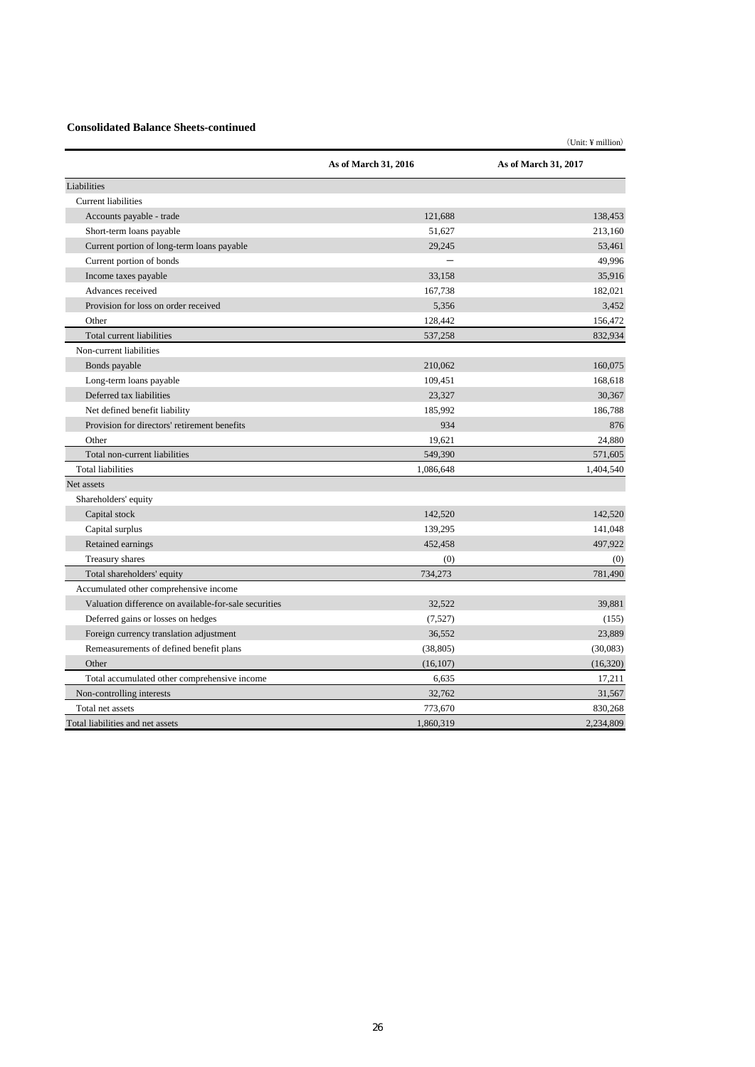#### **Consolidated Balance Sheets-continued**

|                                                       |                      | $(Unit: \yen million)$ |
|-------------------------------------------------------|----------------------|------------------------|
|                                                       | As of March 31, 2016 | As of March 31, 2017   |
| Liabilities                                           |                      |                        |
| <b>Current liabilities</b>                            |                      |                        |
| Accounts payable - trade                              | 121,688              | 138,453                |
| Short-term loans payable                              | 51,627               | 213,160                |
| Current portion of long-term loans payable            | 29.245               | 53,461                 |
| Current portion of bonds                              |                      | 49,996                 |
| Income taxes payable                                  | 33,158               | 35,916                 |
| Advances received                                     | 167,738              | 182,021                |
| Provision for loss on order received                  | 5.356                | 3.452                  |
| Other                                                 | 128,442              | 156,472                |
| Total current liabilities                             | 537,258              | 832,934                |
| Non-current liabilities                               |                      |                        |
| Bonds payable                                         | 210,062              | 160,075                |
| Long-term loans payable                               | 109,451              | 168,618                |
| Deferred tax liabilities                              | 23,327               | 30,367                 |
| Net defined benefit liability                         | 185,992              | 186,788                |
| Provision for directors' retirement benefits          | 934                  | 876                    |
| Other                                                 | 19.621               | 24.880                 |
| Total non-current liabilities                         | 549,390              | 571,605                |
| <b>Total liabilities</b>                              | 1,086,648            | 1,404,540              |
| Net assets                                            |                      |                        |
| Shareholders' equity                                  |                      |                        |
| Capital stock                                         | 142,520              | 142,520                |
| Capital surplus                                       | 139,295              | 141,048                |
| Retained earnings                                     | 452,458              | 497,922                |
| Treasury shares                                       | (0)                  | (0)                    |
| Total shareholders' equity                            | 734,273              | 781,490                |
| Accumulated other comprehensive income                |                      |                        |
| Valuation difference on available-for-sale securities | 32,522               | 39.881                 |
| Deferred gains or losses on hedges                    | (7,527)              | (155)                  |
| Foreign currency translation adjustment               | 36,552               | 23,889                 |
| Remeasurements of defined benefit plans               | (38, 805)            | (30,083)               |
| Other                                                 | (16, 107)            | (16,320)               |
| Total accumulated other comprehensive income          | 6,635                | 17,211                 |
| Non-controlling interests                             | 32,762               | 31,567                 |
| Total net assets                                      | 773,670              | 830,268                |
| Total liabilities and net assets                      | 1,860,319            | 2,234,809              |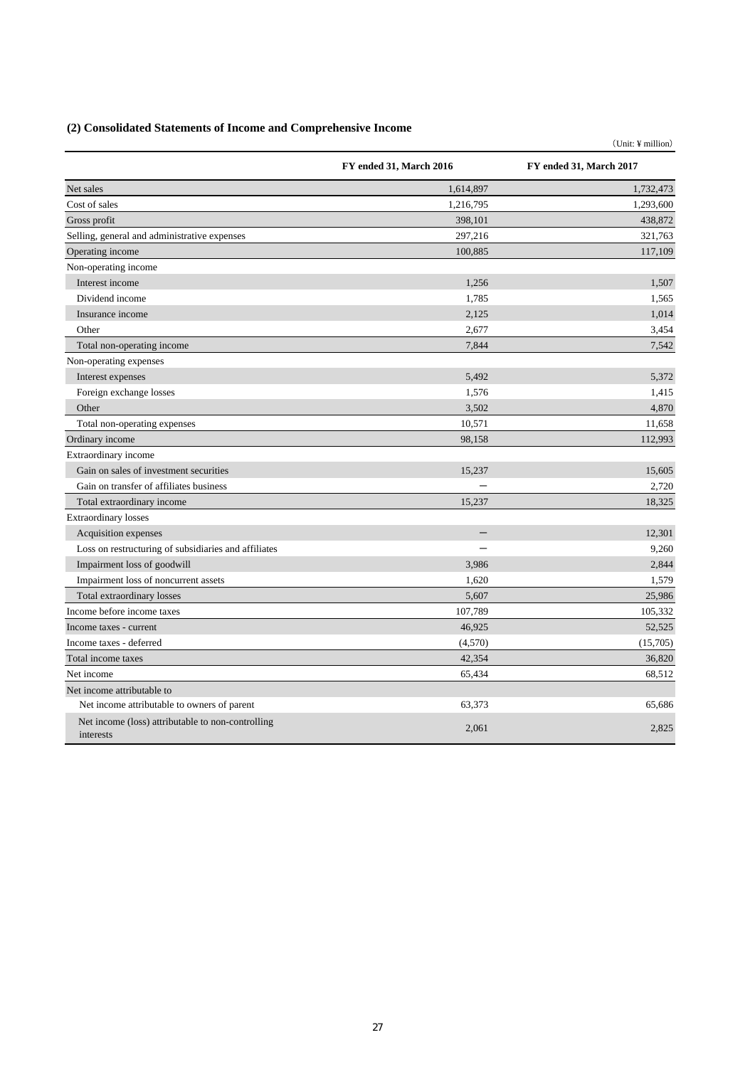# **(2) Consolidated Statements of Income and Comprehensive Income**

(Unit: ¥ million)

|                                                                | FY ended 31, March 2016 | FY ended 31, March 2017 |
|----------------------------------------------------------------|-------------------------|-------------------------|
| Net sales                                                      | 1,614,897               | 1,732,473               |
| Cost of sales                                                  | 1,216,795               | 1,293,600               |
| Gross profit                                                   | 398,101                 | 438,872                 |
| Selling, general and administrative expenses                   | 297,216                 | 321,763                 |
| Operating income                                               | 100,885                 | 117,109                 |
| Non-operating income                                           |                         |                         |
| Interest income                                                | 1,256                   | 1,507                   |
| Dividend income                                                | 1,785                   | 1,565                   |
| Insurance income                                               | 2,125                   | 1,014                   |
| Other                                                          | 2,677                   | 3,454                   |
| Total non-operating income                                     | 7,844                   | 7,542                   |
| Non-operating expenses                                         |                         |                         |
| Interest expenses                                              | 5,492                   | 5,372                   |
| Foreign exchange losses                                        | 1,576                   | 1,415                   |
| Other                                                          | 3,502                   | 4,870                   |
| Total non-operating expenses                                   | 10,571                  | 11,658                  |
| Ordinary income                                                | 98,158                  | 112,993                 |
| Extraordinary income                                           |                         |                         |
| Gain on sales of investment securities                         | 15,237                  | 15,605                  |
| Gain on transfer of affiliates business                        |                         | 2,720                   |
| Total extraordinary income                                     | 15,237                  | 18,325                  |
| <b>Extraordinary losses</b>                                    |                         |                         |
| Acquisition expenses                                           | $\qquad \qquad -$       | 12,301                  |
| Loss on restructuring of subsidiaries and affiliates           |                         | 9,260                   |
| Impairment loss of goodwill                                    | 3,986                   | 2,844                   |
| Impairment loss of noncurrent assets                           | 1,620                   | 1,579                   |
| Total extraordinary losses                                     | 5,607                   | 25,986                  |
| Income before income taxes                                     | 107,789                 | 105,332                 |
| Income taxes - current                                         | 46,925                  | 52,525                  |
| Income taxes - deferred                                        | (4,570)                 | (15,705)                |
| Total income taxes                                             | 42,354                  | 36,820                  |
| Net income                                                     | 65,434                  | 68,512                  |
| Net income attributable to                                     |                         |                         |
| Net income attributable to owners of parent                    | 63,373                  | 65,686                  |
| Net income (loss) attributable to non-controlling<br>interests | 2,061                   | 2,825                   |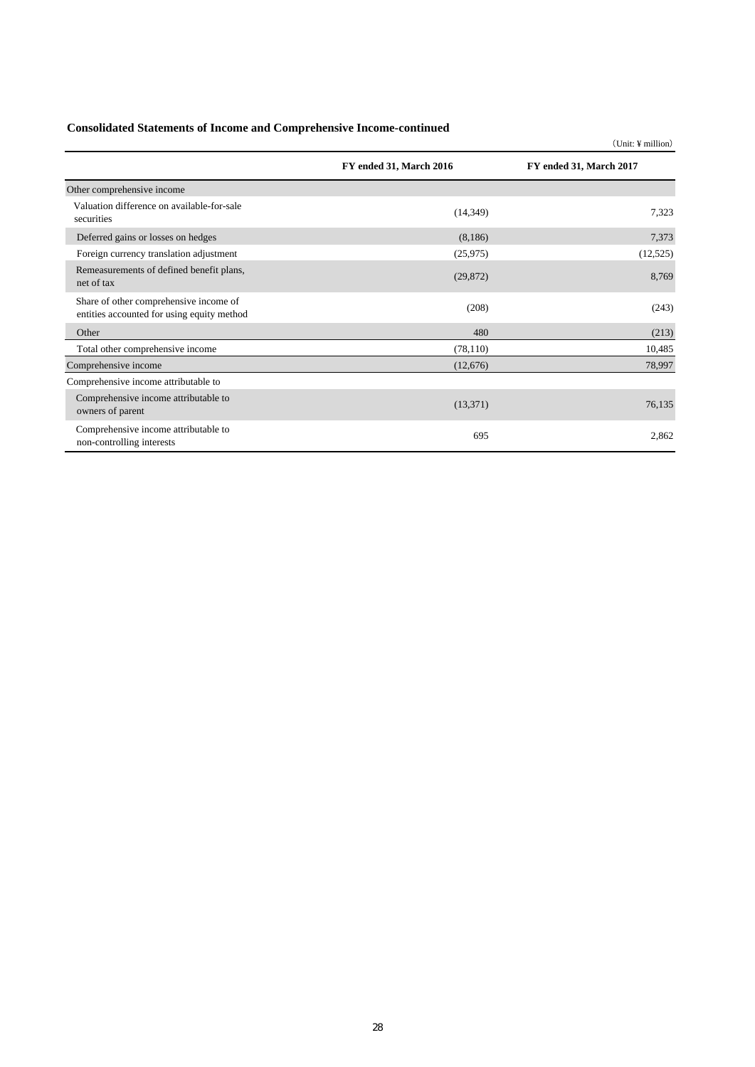# **Consolidated Statements of Income and Comprehensive Income-continued**

(Unit: ¥ million)

|                                                                                      | FY ended 31, March 2016 | FY ended 31, March 2017 |
|--------------------------------------------------------------------------------------|-------------------------|-------------------------|
| Other comprehensive income                                                           |                         |                         |
| Valuation difference on available-for-sale<br>securities                             | (14, 349)               | 7,323                   |
| Deferred gains or losses on hedges                                                   | (8,186)                 | 7,373                   |
| Foreign currency translation adjustment                                              | (25,975)                | (12, 525)               |
| Remeasurements of defined benefit plans,<br>net of tax                               | (29, 872)               | 8,769                   |
| Share of other comprehensive income of<br>entities accounted for using equity method | (208)                   | (243)                   |
| Other                                                                                | 480                     | (213)                   |
| Total other comprehensive income                                                     | (78, 110)               | 10,485                  |
| Comprehensive income                                                                 | (12,676)                | 78,997                  |
| Comprehensive income attributable to                                                 |                         |                         |
| Comprehensive income attributable to<br>owners of parent                             | (13, 371)               | 76,135                  |
| Comprehensive income attributable to<br>non-controlling interests                    | 695                     | 2,862                   |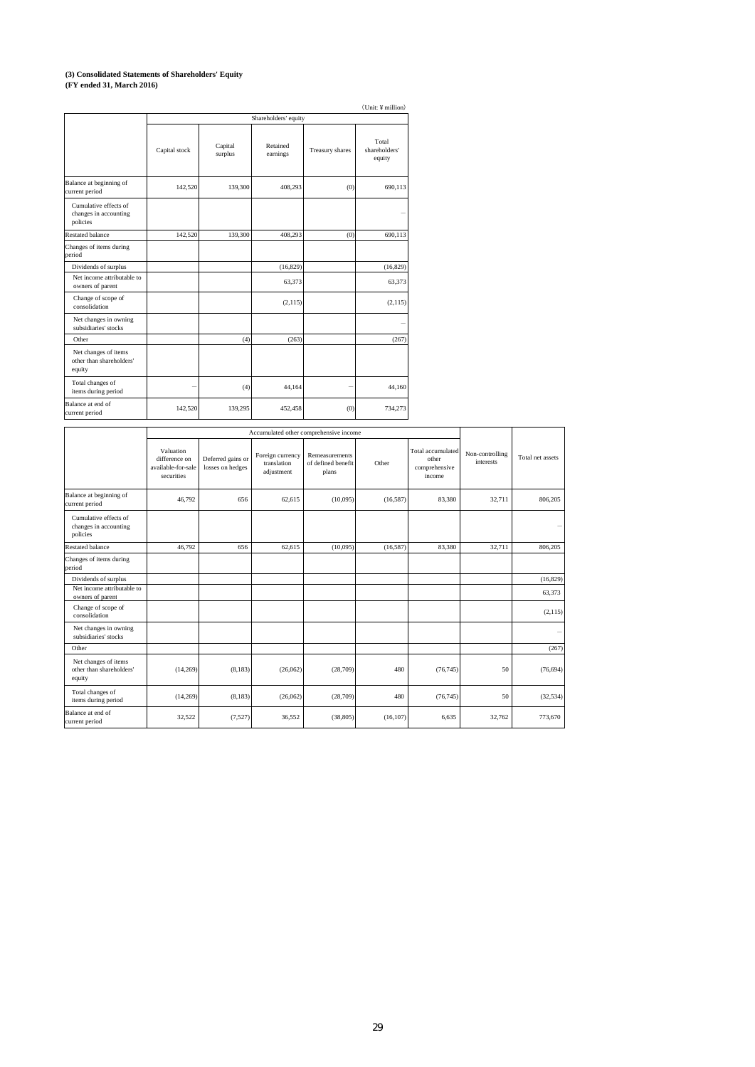# **(3) Consolidated Statements of Shareholders' Equity**

#### **(FY ended 31, March 2016)**

|                                                            |                      |                    |                      |                          | $Unit:$ ¥ million)               |  |  |  |  |
|------------------------------------------------------------|----------------------|--------------------|----------------------|--------------------------|----------------------------------|--|--|--|--|
|                                                            | Shareholders' equity |                    |                      |                          |                                  |  |  |  |  |
|                                                            | Capital stock        | Capital<br>surplus | Retained<br>earnings | Treasury shares          | Total<br>shareholders'<br>equity |  |  |  |  |
| Balance at beginning of<br>current period                  | 142,520              | 139,300            | 408,293              | (0)                      | 690,113                          |  |  |  |  |
| Cumulative effects of<br>changes in accounting<br>policies |                      |                    |                      |                          |                                  |  |  |  |  |
| <b>Restated balance</b>                                    | 142,520              | 139,300            | 408,293              | (0)                      | 690,113                          |  |  |  |  |
| Changes of items during<br>period                          |                      |                    |                      |                          |                                  |  |  |  |  |
| Dividends of surplus                                       |                      |                    | (16, 829)            |                          | (16, 829)                        |  |  |  |  |
| Net income attributable to<br>owners of parent             |                      |                    | 63,373               |                          | 63,373                           |  |  |  |  |
| Change of scope of<br>consolidation                        |                      |                    | (2, 115)             |                          | (2, 115)                         |  |  |  |  |
| Net changes in owning<br>subsidiaries' stocks              |                      |                    |                      |                          |                                  |  |  |  |  |
| Other                                                      |                      | (4)                | (263)                |                          | (267)                            |  |  |  |  |
| Net changes of items<br>other than shareholders'<br>equity |                      |                    |                      |                          |                                  |  |  |  |  |
| Total changes of<br>items during period                    |                      | (4)                | 44,164               | $\overline{\phantom{a}}$ | 44,160                           |  |  |  |  |
| Balance at end of<br>current period                        | 142,520              | 139,295            | 452,458              | (0)                      | 734,273                          |  |  |  |  |

|                                                            | Valuation<br>difference on<br>available-for-sale<br>securities | Deferred gains or<br>losses on hedges | Foreign currency<br>translation<br>adjustment | Remeasurements<br>of defined benefit<br>plans | Other     | Total accumulated<br>other<br>comprehensive<br>income | Non-controlling<br>interests | Total net assets |
|------------------------------------------------------------|----------------------------------------------------------------|---------------------------------------|-----------------------------------------------|-----------------------------------------------|-----------|-------------------------------------------------------|------------------------------|------------------|
| Balance at beginning of<br>current period                  | 46,792                                                         | 656                                   | 62,615                                        | (10,095)                                      | (16, 587) | 83,380                                                | 32.711                       | 806.205          |
| Cumulative effects of<br>changes in accounting<br>policies |                                                                |                                       |                                               |                                               |           |                                                       |                              |                  |
| <b>Restated balance</b>                                    | 46.792                                                         | 656                                   | 62.615                                        | (10,095)                                      | (16, 587) | 83.380                                                | 32.711                       | 806.205          |
| Changes of items during<br>period                          |                                                                |                                       |                                               |                                               |           |                                                       |                              |                  |
| Dividends of surplus                                       |                                                                |                                       |                                               |                                               |           |                                                       |                              | (16,829)         |
| Net income attributable to<br>owners of parent             |                                                                |                                       |                                               |                                               |           |                                                       |                              | 63,373           |
| Change of scope of<br>consolidation                        |                                                                |                                       |                                               |                                               |           |                                                       |                              | (2, 115)         |
| Net changes in owning<br>subsidiaries' stocks              |                                                                |                                       |                                               |                                               |           |                                                       |                              |                  |
| Other                                                      |                                                                |                                       |                                               |                                               |           |                                                       |                              | (267)            |
| Net changes of items<br>other than shareholders'<br>equity | (14,269)                                                       | (8,183)                               | (26,062)                                      | (28,709)                                      | 480       | (76, 745)                                             | 50                           | (76, 694)        |
| Total changes of<br>items during period                    | (14,269)                                                       | (8,183)                               | (26,062)                                      | (28,709)                                      | 480       | (76, 745)                                             | 50                           | (32, 534)        |
| Balance at end of<br>current period                        | 32,522                                                         | (7, 527)                              | 36,552                                        | (38, 805)                                     | (16, 107) | 6,635                                                 | 32,762                       | 773,670          |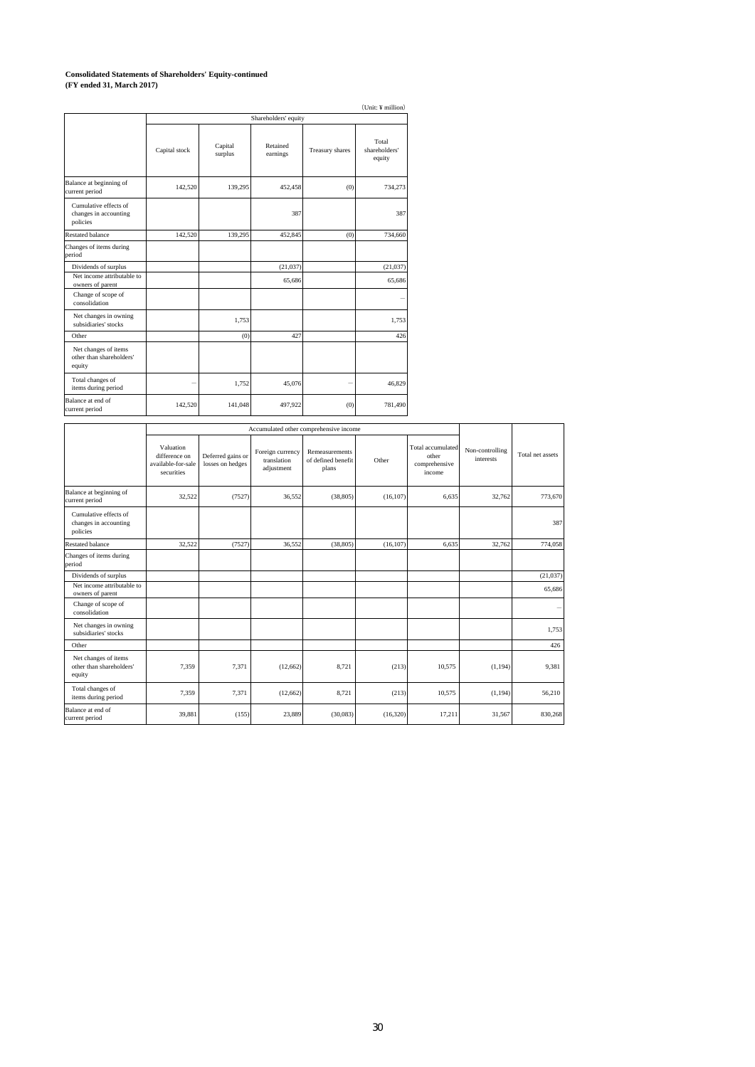#### **Consolidated Statements of Shareholders' Equity-continued (FY ended 31, March 2017)**

|                                                            |               |                      |                      |                 | (Unit: ¥ million)                |  |  |  |  |  |  |
|------------------------------------------------------------|---------------|----------------------|----------------------|-----------------|----------------------------------|--|--|--|--|--|--|
|                                                            |               | Shareholders' equity |                      |                 |                                  |  |  |  |  |  |  |
|                                                            | Capital stock | Capital<br>surplus   | Retained<br>earnings | Treasury shares | Total<br>shareholders'<br>equity |  |  |  |  |  |  |
| Balance at beginning of<br>current period                  | 142,520       | 139,295              | 452,458              | (0)             | 734,273                          |  |  |  |  |  |  |
| Cumulative effects of<br>changes in accounting<br>policies |               |                      | 387                  |                 | 387                              |  |  |  |  |  |  |
| <b>Restated balance</b>                                    | 142,520       | 139,295              | 452,845              | (0)             | 734,660                          |  |  |  |  |  |  |
| Changes of items during<br>period                          |               |                      |                      |                 |                                  |  |  |  |  |  |  |
| Dividends of surplus                                       |               |                      | (21,037)             |                 | (21,037)                         |  |  |  |  |  |  |
| Net income attributable to<br>owners of parent             |               |                      | 65,686               |                 | 65,686                           |  |  |  |  |  |  |
| Change of scope of<br>consolidation                        |               |                      |                      |                 |                                  |  |  |  |  |  |  |
| Net changes in owning<br>subsidiaries' stocks              |               | 1,753                |                      |                 | 1,753                            |  |  |  |  |  |  |
| Other                                                      |               | (0)                  | 427                  |                 | 426                              |  |  |  |  |  |  |
| Net changes of items<br>other than shareholders'<br>equity |               |                      |                      |                 |                                  |  |  |  |  |  |  |
| Total changes of<br>items during period                    | -             | 1,752                | 45,076               | ٠               | 46,829                           |  |  |  |  |  |  |
| Balance at end of<br>current period                        | 142,520       | 141,048              | 497,922              | (0)             | 781,490                          |  |  |  |  |  |  |

|                                                            |                                                                | Accumulated other comprehensive income |                                               |                                               |           |                                                       |                              |                  |
|------------------------------------------------------------|----------------------------------------------------------------|----------------------------------------|-----------------------------------------------|-----------------------------------------------|-----------|-------------------------------------------------------|------------------------------|------------------|
|                                                            | Valuation<br>difference on<br>available-for-sale<br>securities | Deferred gains or<br>losses on hedges  | Foreign currency<br>translation<br>adjustment | Remeasurements<br>of defined benefit<br>plans | Other     | Total accumulated<br>other<br>comprehensive<br>income | Non-controlling<br>interests | Total net assets |
| Balance at beginning of<br>current period                  | 32,522                                                         | (7527)                                 | 36.552                                        | (38, 805)                                     | (16, 107) | 6.635                                                 | 32.762                       | 773,670          |
| Cumulative effects of<br>changes in accounting<br>policies |                                                                |                                        |                                               |                                               |           |                                                       |                              | 387              |
| <b>Restated balance</b>                                    | 32.522                                                         | (7527)                                 | 36.552                                        | (38, 805)                                     | (16, 107) | 6.635                                                 | 32.762                       | 774,058          |
| Changes of items during<br>period                          |                                                                |                                        |                                               |                                               |           |                                                       |                              |                  |
| Dividends of surplus                                       |                                                                |                                        |                                               |                                               |           |                                                       |                              | (21,037)         |
| Net income attributable to<br>owners of parent             |                                                                |                                        |                                               |                                               |           |                                                       |                              | 65,686           |
| Change of scope of<br>consolidation                        |                                                                |                                        |                                               |                                               |           |                                                       |                              |                  |
| Net changes in owning<br>subsidiaries' stocks              |                                                                |                                        |                                               |                                               |           |                                                       |                              | 1,753            |
| Other                                                      |                                                                |                                        |                                               |                                               |           |                                                       |                              | 426              |
| Net changes of items<br>other than shareholders'<br>equity | 7,359                                                          | 7,371                                  | (12, 662)                                     | 8.721                                         | (213)     | 10,575                                                | (1, 194)                     | 9,381            |
| Total changes of<br>items during period                    | 7,359                                                          | 7,371                                  | (12, 662)                                     | 8.721                                         | (213)     | 10,575                                                | (1, 194)                     | 56,210           |
| Balance at end of<br>current period                        | 39,881                                                         | (155)                                  | 23,889                                        | (30,083)                                      | (16,320)  | 17,211                                                | 31,567                       | 830,268          |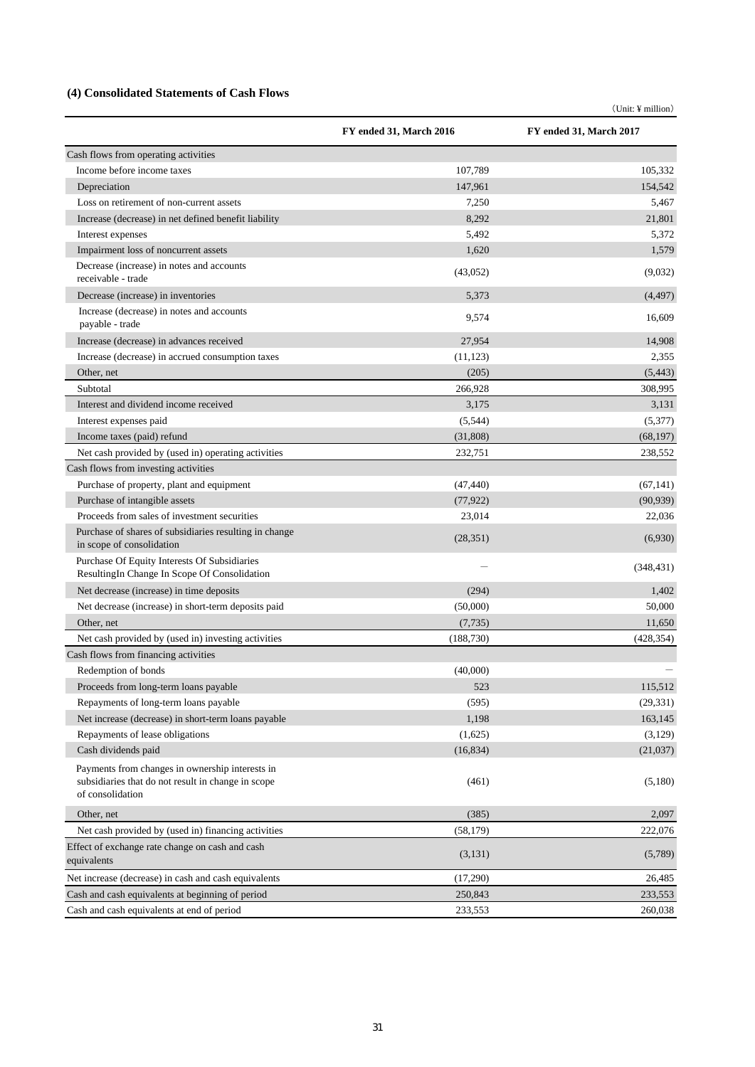# **(4) Consolidated Statements of Cash Flows**

(Unit: ¥ million)

|                                                                                                                           | FY ended 31, March 2016 | FY ended 31, March 2017 |
|---------------------------------------------------------------------------------------------------------------------------|-------------------------|-------------------------|
| Cash flows from operating activities                                                                                      |                         |                         |
| Income before income taxes                                                                                                | 107,789                 | 105,332                 |
| Depreciation                                                                                                              | 147,961                 | 154,542                 |
| Loss on retirement of non-current assets                                                                                  | 7,250                   | 5,467                   |
| Increase (decrease) in net defined benefit liability                                                                      | 8,292                   | 21,801                  |
| Interest expenses                                                                                                         | 5,492                   | 5,372                   |
| Impairment loss of noncurrent assets                                                                                      | 1,620                   | 1,579                   |
| Decrease (increase) in notes and accounts<br>receivable - trade                                                           | (43,052)                | (9,032)                 |
| Decrease (increase) in inventories                                                                                        | 5,373                   | (4, 497)                |
| Increase (decrease) in notes and accounts<br>payable - trade                                                              | 9,574                   | 16,609                  |
| Increase (decrease) in advances received                                                                                  | 27,954                  | 14,908                  |
| Increase (decrease) in accrued consumption taxes                                                                          | (11, 123)               | 2,355                   |
| Other, net                                                                                                                | (205)                   | (5, 443)                |
| Subtotal                                                                                                                  | 266,928                 | 308,995                 |
| Interest and dividend income received                                                                                     | 3,175                   | 3,131                   |
| Interest expenses paid                                                                                                    | (5, 544)                | (5,377)                 |
| Income taxes (paid) refund                                                                                                | (31,808)                | (68, 197)               |
| Net cash provided by (used in) operating activities                                                                       | 232,751                 | 238,552                 |
| Cash flows from investing activities                                                                                      |                         |                         |
| Purchase of property, plant and equipment                                                                                 | (47, 440)               | (67, 141)               |
| Purchase of intangible assets                                                                                             | (77, 922)               | (90, 939)               |
| Proceeds from sales of investment securities                                                                              | 23,014                  | 22,036                  |
| Purchase of shares of subsidiaries resulting in change<br>in scope of consolidation                                       | (28, 351)               | (6,930)                 |
| Purchase Of Equity Interests Of Subsidiaries<br>ResultingIn Change In Scope Of Consolidation                              |                         | (348, 431)              |
| Net decrease (increase) in time deposits                                                                                  | (294)                   | 1,402                   |
| Net decrease (increase) in short-term deposits paid                                                                       | (50,000)                | 50,000                  |
| Other, net                                                                                                                | (7, 735)                | 11,650                  |
| Net cash provided by (used in) investing activities                                                                       | (188, 730)              | (428, 354)              |
| Cash flows from financing activities                                                                                      |                         |                         |
| Redemption of bonds                                                                                                       | (40,000)                |                         |
| Proceeds from long-term loans payable                                                                                     | 523                     | 115,512                 |
| Repayments of long-term loans payable                                                                                     | (595)                   | (29, 331)               |
| Net increase (decrease) in short-term loans payable                                                                       | 1,198                   | 163,145                 |
| Repayments of lease obligations                                                                                           | (1,625)                 | (3,129)                 |
| Cash dividends paid                                                                                                       | (16, 834)               | (21,037)                |
| Payments from changes in ownership interests in<br>subsidiaries that do not result in change in scope<br>of consolidation | (461)                   | (5,180)                 |
| Other, net                                                                                                                | (385)                   | 2,097                   |
| Net cash provided by (used in) financing activities                                                                       | (58, 179)               | 222,076                 |
| Effect of exchange rate change on cash and cash<br>equivalents                                                            | (3,131)                 | (5,789)                 |
| Net increase (decrease) in cash and cash equivalents                                                                      | (17,290)                | 26,485                  |
| Cash and cash equivalents at beginning of period                                                                          | 250,843                 | 233,553                 |
| Cash and cash equivalents at end of period                                                                                | 233,553                 | 260,038                 |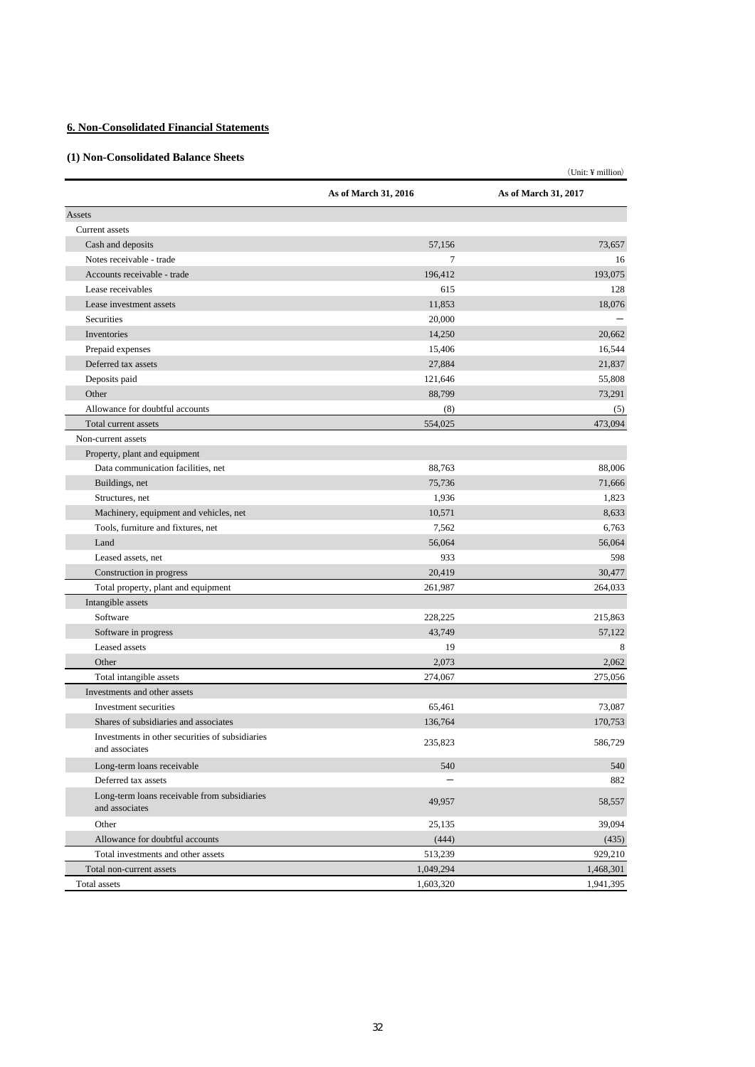# **6. Non-Consolidated Financial Statements**

### **(1) Non-Consolidated Balance Sheets**

|                                                                |                      | $(Unit: \yen million)$ |
|----------------------------------------------------------------|----------------------|------------------------|
|                                                                | As of March 31, 2016 | As of March 31, 2017   |
| Assets                                                         |                      |                        |
| Current assets                                                 |                      |                        |
| Cash and deposits                                              | 57,156               | 73.657                 |
| Notes receivable - trade                                       | 7                    | 16                     |
| Accounts receivable - trade                                    | 196,412              | 193,075                |
| Lease receivables                                              | 615                  | 128                    |
| Lease investment assets                                        | 11,853               | 18,076                 |
| Securities                                                     | 20,000               |                        |
| Inventories                                                    | 14.250               | 20.662                 |
| Prepaid expenses                                               | 15,406               | 16,544                 |
| Deferred tax assets                                            | 27,884               | 21,837                 |
| Deposits paid                                                  | 121,646              | 55,808                 |
| Other                                                          | 88,799               | 73,291                 |
| Allowance for doubtful accounts                                | (8)                  | (5)                    |
| Total current assets                                           | 554,025              | 473,094                |
| Non-current assets                                             |                      |                        |
| Property, plant and equipment                                  |                      |                        |
| Data communication facilities, net                             | 88,763               | 88,006                 |
| Buildings, net                                                 | 75,736               | 71,666                 |
| Structures, net                                                | 1,936                | 1,823                  |
| Machinery, equipment and vehicles, net                         | 10,571               | 8,633                  |
| Tools, furniture and fixtures, net                             | 7,562                | 6,763                  |
| Land                                                           | 56,064               | 56,064                 |
| Leased assets, net                                             | 933                  | 598                    |
| Construction in progress                                       | 20,419               | 30,477                 |
| Total property, plant and equipment                            | 261,987              | 264,033                |
| Intangible assets                                              |                      |                        |
| Software                                                       | 228,225              | 215,863                |
| Software in progress                                           | 43,749               | 57,122                 |
| Leased assets                                                  | 19                   | 8                      |
| Other                                                          | 2,073                | 2,062                  |
| Total intangible assets                                        | 274,067              | 275,056                |
| Investments and other assets                                   |                      |                        |
| Investment securities                                          | 65,461               | 73,087                 |
| Shares of subsidiaries and associates                          | 136,764              | 170,753                |
| Investments in other securities of subsidiaries                |                      |                        |
| and associates                                                 | 235,823              | 586,729                |
| Long-term loans receivable                                     | 540                  | 540                    |
| Deferred tax assets                                            |                      | 882                    |
| Long-term loans receivable from subsidiaries<br>and associates | 49,957               | 58,557                 |
| Other                                                          | 25,135               | 39,094                 |
| Allowance for doubtful accounts                                | (444)                | (435)                  |
| Total investments and other assets                             | 513,239              | 929,210                |
| Total non-current assets                                       | 1,049,294            | 1,468,301              |
| Total assets                                                   | 1,603,320            | 1,941,395              |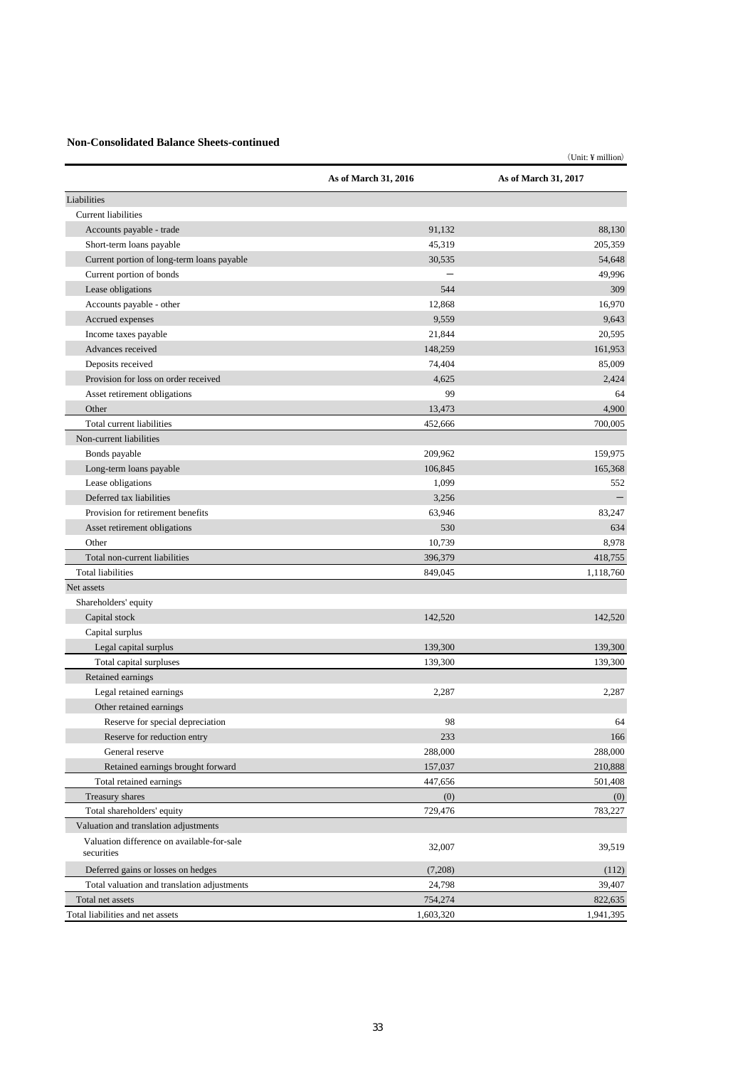#### **Non-Consolidated Balance Sheets-continued**

|                                             |                      | $(Unit: \angle million)$ |
|---------------------------------------------|----------------------|--------------------------|
|                                             | As of March 31, 2016 | As of March 31, 2017     |
| Liabilities                                 |                      |                          |
| <b>Current liabilities</b>                  |                      |                          |
| Accounts payable - trade                    | 91,132               | 88,130                   |
| Short-term loans payable                    | 45,319               | 205,359                  |
| Current portion of long-term loans payable  | 30,535               | 54,648                   |
| Current portion of bonds                    |                      | 49,996                   |
| Lease obligations                           | 544                  | 309                      |
| Accounts payable - other                    | 12,868               | 16,970                   |
| Accrued expenses                            | 9,559                | 9,643                    |
| Income taxes payable                        | 21,844               | 20.595                   |
| Advances received                           | 148,259              | 161,953                  |
| Deposits received                           | 74,404               | 85,009                   |
| Provision for loss on order received        | 4.625                | 2.424                    |
| Asset retirement obligations                | 99                   | 64                       |
| Other                                       | 13,473               | 4,900                    |
| Total current liabilities                   | 452,666              | 700,005                  |
| Non-current liabilities                     |                      |                          |
| Bonds payable                               | 209,962              | 159,975                  |
| Long-term loans payable                     | 106,845              | 165,368                  |
| Lease obligations                           | 1,099                | 552                      |
| Deferred tax liabilities                    | 3,256                |                          |
| Provision for retirement benefits           | 63,946               | 83,247                   |
| Asset retirement obligations                | 530                  | 634                      |
| Other                                       | 10,739               | 8,978                    |
| Total non-current liabilities               | 396,379              | 418,755                  |
| <b>Total liabilities</b>                    | 849,045              | 1,118,760                |
| Net assets                                  |                      |                          |
| Shareholders' equity                        |                      |                          |
| Capital stock                               | 142,520              | 142,520                  |
| Capital surplus                             |                      |                          |
| Legal capital surplus                       | 139,300              | 139,300                  |
| Total capital surpluses                     | 139,300              | 139,300                  |
| Retained earnings                           |                      |                          |
| Legal retained earnings                     | 2,287                | 2,287                    |
| Other retained earnings                     |                      |                          |
| Reserve for special depreciation            | 98                   | 64                       |
| Reserve for reduction entry                 | 233                  | 166                      |
| General reserve                             | 288,000              | 288,000                  |
| Retained earnings brought forward           | 157,037              | 210,888                  |
| Total retained earnings                     | 447,656              | 501,408                  |
| Treasury shares                             | (0)                  | (0)                      |
| Total shareholders' equity                  | 729,476              | 783,227                  |
| Valuation and translation adjustments       |                      |                          |
| Valuation difference on available-for-sale  |                      |                          |
| securities                                  | 32,007               | 39,519                   |
| Deferred gains or losses on hedges          | (7,208)              | (112)                    |
| Total valuation and translation adjustments | 24,798               | 39,407                   |
| Total net assets                            | 754,274              | 822,635                  |
| Total liabilities and net assets            | 1,603,320            | 1,941,395                |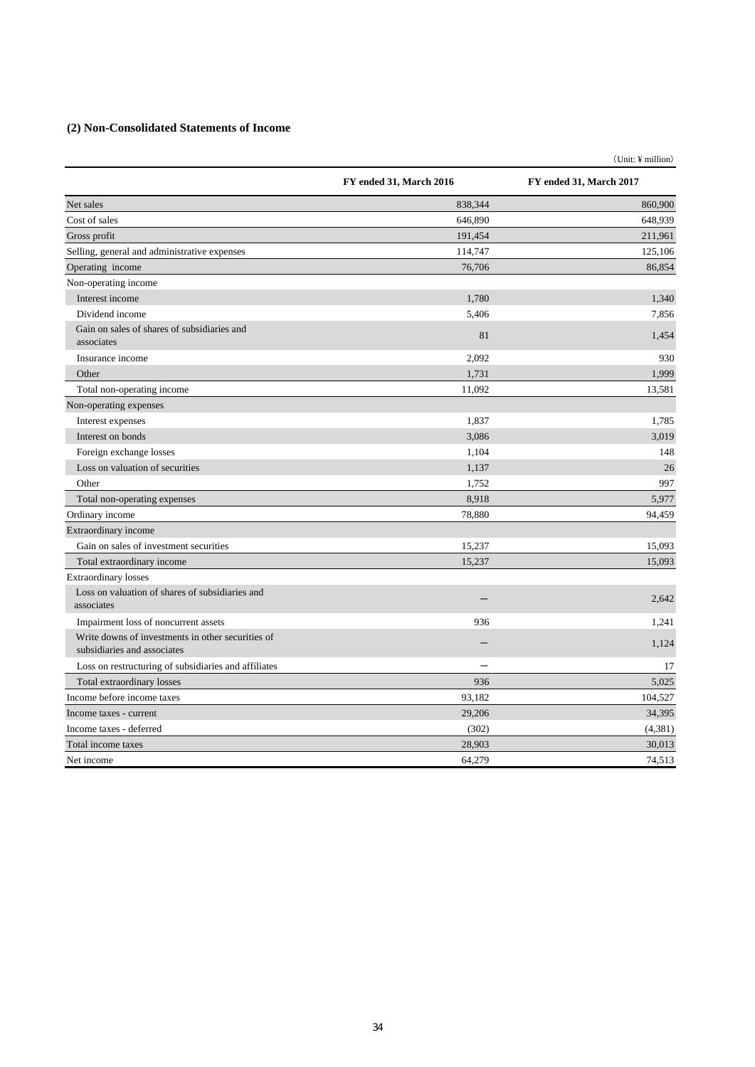### **(2) Non-Consolidated Statements of Income**

|                                                                                  |                          | (Unit: ¥ million)       |
|----------------------------------------------------------------------------------|--------------------------|-------------------------|
|                                                                                  | FY ended 31, March 2016  | FY ended 31, March 2017 |
| Net sales                                                                        | 838,344                  | 860,900                 |
| Cost of sales                                                                    | 646,890                  | 648,939                 |
| Gross profit                                                                     | 191,454                  | 211,961                 |
| Selling, general and administrative expenses                                     | 114,747                  | 125,106                 |
| Operating income                                                                 | 76,706                   | 86,854                  |
| Non-operating income                                                             |                          |                         |
| Interest income                                                                  | 1,780                    | 1,340                   |
| Dividend income                                                                  | 5,406                    | 7,856                   |
| Gain on sales of shares of subsidiaries and<br>associates                        | 81                       | 1,454                   |
| Insurance income                                                                 | 2,092                    | 930                     |
| Other                                                                            | 1,731                    | 1,999                   |
| Total non-operating income                                                       | 11,092                   | 13,581                  |
| Non-operating expenses                                                           |                          |                         |
| Interest expenses                                                                | 1,837                    | 1,785                   |
| Interest on bonds                                                                | 3,086                    | 3,019                   |
| Foreign exchange losses                                                          | 1,104                    | 148                     |
| Loss on valuation of securities                                                  | 1,137                    | 26                      |
| Other                                                                            | 1,752                    | 997                     |
| Total non-operating expenses                                                     | 8,918                    | 5,977                   |
| Ordinary income                                                                  | 78,880                   | 94,459                  |
| Extraordinary income                                                             |                          |                         |
| Gain on sales of investment securities                                           | 15,237                   | 15,093                  |
| Total extraordinary income                                                       | 15,237                   | 15,093                  |
| <b>Extraordinary losses</b>                                                      |                          |                         |
| Loss on valuation of shares of subsidiaries and<br>associates                    |                          | 2,642                   |
| Impairment loss of noncurrent assets                                             | 936                      | 1,241                   |
| Write downs of investments in other securities of<br>subsidiaries and associates |                          | 1,124                   |
| Loss on restructuring of subsidiaries and affiliates                             | $\overline{\phantom{0}}$ | 17                      |
| Total extraordinary losses                                                       | 936                      | 5,025                   |
| Income before income taxes                                                       | 93,182                   | 104,527                 |
| Income taxes - current                                                           | 29,206                   | 34,395                  |
| Income taxes - deferred                                                          | (302)                    | (4, 381)                |
| Total income taxes                                                               | 28,903                   | 30,013                  |
| Net income                                                                       | 64,279                   | 74,513                  |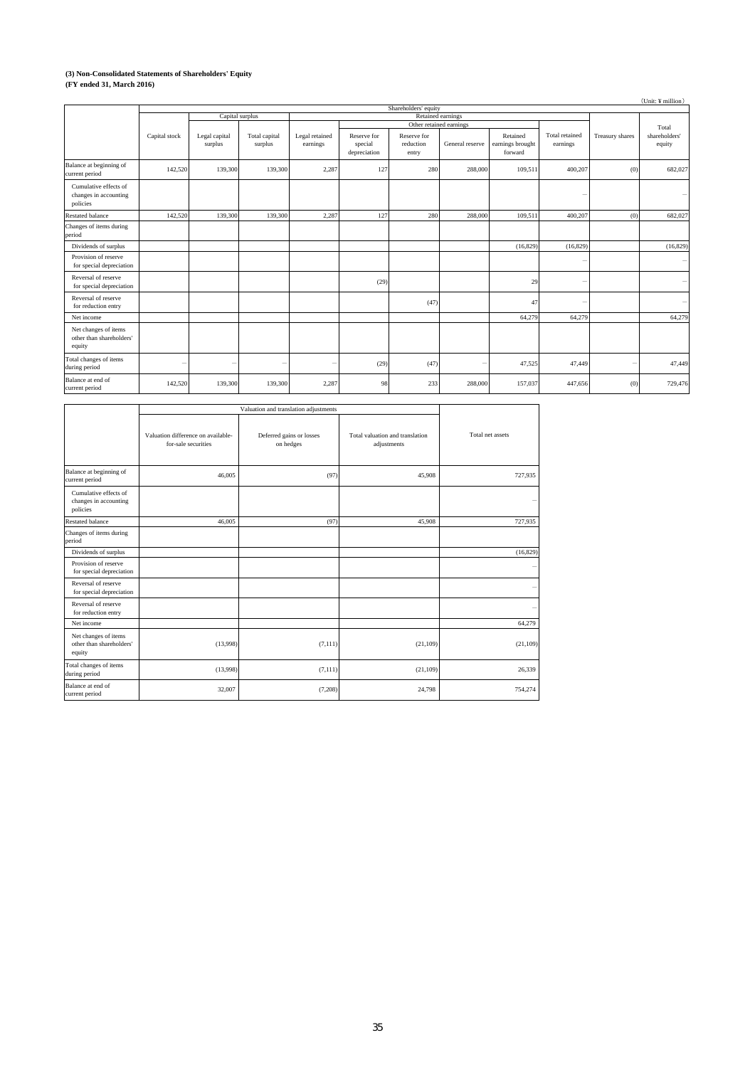#### **(3) Non-Consolidated Statements of Shareholders' Equity (FY ended 31, March 2016)**

|                                                            |                      |                          |                          |                            |                                        |                                   |                   |                                         |                            |                 | $(Unit; \Psi$ million)  |
|------------------------------------------------------------|----------------------|--------------------------|--------------------------|----------------------------|----------------------------------------|-----------------------------------|-------------------|-----------------------------------------|----------------------------|-----------------|-------------------------|
|                                                            | Shareholders' equity |                          |                          |                            |                                        |                                   |                   |                                         |                            |                 |                         |
|                                                            |                      | Capital surplus          |                          |                            |                                        |                                   | Retained earnings |                                         |                            |                 |                         |
|                                                            |                      |                          |                          |                            |                                        | Other retained earnings           |                   |                                         |                            |                 | Total                   |
|                                                            | Capital stock        | Legal capital<br>surplus | Total capital<br>surplus | Legal retained<br>earnings | Reserve for<br>special<br>depreciation | Reserve for<br>reduction<br>entry | General reserve   | Retained<br>earnings brought<br>forward | Total retained<br>earnings | Treasury shares | shareholders'<br>equity |
| Balance at beginning of<br>current period                  | 142,520              | 139,300                  | 139,300                  | 2,287                      | 127                                    | 280                               | 288,000           | 109,511                                 | 400,207                    | (0)             | 682,027                 |
| Cumulative effects of<br>changes in accounting<br>policies |                      |                          |                          |                            |                                        |                                   |                   |                                         | $\overline{\phantom{0}}$   |                 |                         |
| Restated balance                                           | 142,520              | 139,300                  | 139,300                  | 2,287                      | 127                                    | 280                               | 288,000           | 109,51                                  | 400,207                    | (0)             | 682,027                 |
| Changes of items during<br>period                          |                      |                          |                          |                            |                                        |                                   |                   |                                         |                            |                 |                         |
| Dividends of surplus                                       |                      |                          |                          |                            |                                        |                                   |                   | (16,829)                                | (16, 829)                  |                 | (16,829)                |
| Provision of reserve<br>for special depreciation           |                      |                          |                          |                            |                                        |                                   |                   |                                         |                            |                 |                         |
| Reversal of reserve<br>for special depreciation            |                      |                          |                          |                            | (29)                                   |                                   |                   | 29                                      | $\overline{\phantom{0}}$   |                 | -                       |
| Reversal of reserve<br>for reduction entry                 |                      |                          |                          |                            |                                        | (47)                              |                   | 47                                      |                            |                 |                         |
| Net income                                                 |                      |                          |                          |                            |                                        |                                   |                   | 64,279                                  | 64,279                     |                 | 64,279                  |
| Net changes of items<br>other than shareholders'<br>equity |                      |                          |                          |                            |                                        |                                   |                   |                                         |                            |                 |                         |
| Total changes of items<br>during period                    |                      |                          |                          |                            | (29)                                   | (47)                              |                   | 47,525                                  | 47,449                     |                 | 47.449                  |
| Balance at end of<br>current period                        | 142,520              | 139,300                  | 139,300                  | 2,287                      | 98                                     | 233                               | 288,000           | 157,037                                 | 447,656                    | (0)             | 729,476                 |

|                                                            |                                                           | Valuation and translation adjustments |                                                |                   |
|------------------------------------------------------------|-----------------------------------------------------------|---------------------------------------|------------------------------------------------|-------------------|
|                                                            | Valuation difference on available-<br>for-sale securities | Deferred gains or losses<br>on hedges | Total valuation and translation<br>adjustments | Total net assets  |
| Balance at beginning of<br>current period                  | 46,005                                                    | (97)                                  | 45,908                                         | 727,935           |
| Cumulative effects of<br>changes in accounting<br>policies |                                                           |                                       |                                                | -                 |
| <b>Restated balance</b>                                    | 46,005                                                    | (97)                                  | 45,908                                         | 727,935           |
| Changes of items during<br>period                          |                                                           |                                       |                                                |                   |
| Dividends of surplus                                       |                                                           |                                       |                                                | (16,829)          |
| Provision of reserve<br>for special depreciation           |                                                           |                                       |                                                | $\qquad \qquad -$ |
| Reversal of reserve<br>for special depreciation            |                                                           |                                       |                                                | -                 |
| Reversal of reserve<br>for reduction entry                 |                                                           |                                       |                                                | -                 |
| Net income                                                 |                                                           |                                       |                                                | 64,279            |
| Net changes of items<br>other than shareholders'<br>equity | (13,998)                                                  | (7, 111)                              | (21, 109)                                      | (21, 109)         |
| Total changes of items<br>during period                    | (13,998)                                                  | (7, 111)                              | (21, 109)                                      | 26,339            |
| Balance at end of<br>current period                        | 32,007                                                    | (7,208)                               | 24,798                                         | 754,274           |